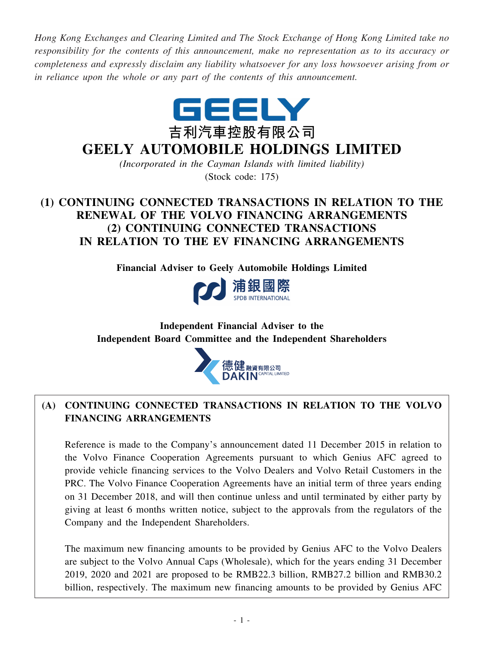*Hong Kong Exchanges and Clearing Limited and The Stock Exchange of Hong Kong Limited take no responsibility for the contents of this announcement, make no representation as to its accuracy or completeness and expressly disclaim any liability whatsoever for any loss howsoever arising from or in reliance upon the whole or any part of the contents of this announcement.*



# **GEELY AUTOMOBILE HOLDINGS LIMITED**

*(Incorporated in the Cayman Islands with limited liability)* (Stock code: 175)

## **(1) CONTINUING CONNECTED TRANSACTIONS IN RELATION TO THE RENEWAL OF THE VOLVO FINANCING ARRANGEMENTS (2) CONTINUING CONNECTED TRANSACTIONS IN RELATION TO THE EV FINANCING ARRANGEMENTS**

**Financial Adviser to Geely Automobile Holdings Limited**



## **Independent Financial Adviser to the Independent Board Committee and the Independent Shareholders**



## **(A) CONTINUING CONNECTED TRANSACTIONS IN RELATION TO THE VOLVO FINANCING ARRANGEMENTS**

Reference is made to the Company's announcement dated 11 December 2015 in relation to the Volvo Finance Cooperation Agreements pursuant to which Genius AFC agreed to provide vehicle financing services to the Volvo Dealers and Volvo Retail Customers in the PRC. The Volvo Finance Cooperation Agreements have an initial term of three years ending on 31 December 2018, and will then continue unless and until terminated by either party by giving at least 6 months written notice, subject to the approvals from the regulators of the Company and the Independent Shareholders.

The maximum new financing amounts to be provided by Genius AFC to the Volvo Dealers are subject to the Volvo Annual Caps (Wholesale), which for the years ending 31 December 2019, 2020 and 2021 are proposed to be RMB22.3 billion, RMB27.2 billion and RMB30.2 billion, respectively. The maximum new financing amounts to be provided by Genius AFC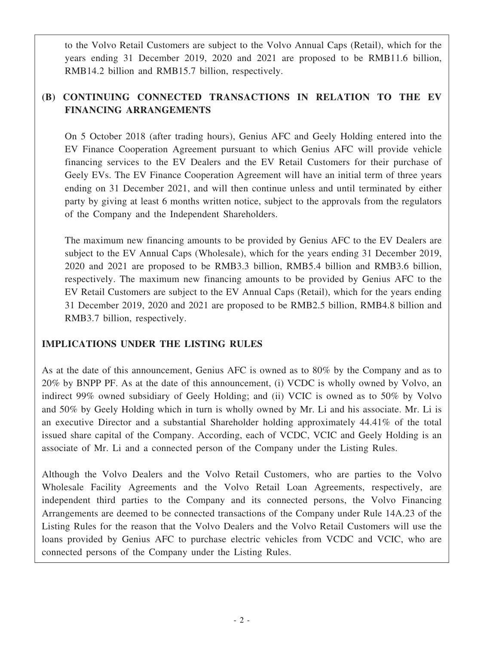to the Volvo Retail Customers are subject to the Volvo Annual Caps (Retail), which for the years ending 31 December 2019, 2020 and 2021 are proposed to be RMB11.6 billion, RMB14.2 billion and RMB15.7 billion, respectively.

## **(B) CONTINUING CONNECTED TRANSACTIONS IN RELATION TO THE EV FINANCING ARRANGEMENTS**

On 5 October 2018 (after trading hours), Genius AFC and Geely Holding entered into the EV Finance Cooperation Agreement pursuant to which Genius AFC will provide vehicle financing services to the EV Dealers and the EV Retail Customers for their purchase of Geely EVs. The EV Finance Cooperation Agreement will have an initial term of three years ending on 31 December 2021, and will then continue unless and until terminated by either party by giving at least 6 months written notice, subject to the approvals from the regulators of the Company and the Independent Shareholders.

The maximum new financing amounts to be provided by Genius AFC to the EV Dealers are subject to the EV Annual Caps (Wholesale), which for the years ending 31 December 2019, 2020 and 2021 are proposed to be RMB3.3 billion, RMB5.4 billion and RMB3.6 billion, respectively. The maximum new financing amounts to be provided by Genius AFC to the EV Retail Customers are subject to the EV Annual Caps (Retail), which for the years ending 31 December 2019, 2020 and 2021 are proposed to be RMB2.5 billion, RMB4.8 billion and RMB3.7 billion, respectively.

## **IMPLICATIONS UNDER THE LISTING RULES**

As at the date of this announcement, Genius AFC is owned as to 80% by the Company and as to 20% by BNPP PF. As at the date of this announcement, (i) VCDC is wholly owned by Volvo, an indirect 99% owned subsidiary of Geely Holding; and (ii) VCIC is owned as to 50% by Volvo and 50% by Geely Holding which in turn is wholly owned by Mr. Li and his associate. Mr. Li is an executive Director and a substantial Shareholder holding approximately 44.41% of the total issued share capital of the Company. According, each of VCDC, VCIC and Geely Holding is an associate of Mr. Li and a connected person of the Company under the Listing Rules.

Although the Volvo Dealers and the Volvo Retail Customers, who are parties to the Volvo Wholesale Facility Agreements and the Volvo Retail Loan Agreements, respectively, are independent third parties to the Company and its connected persons, the Volvo Financing Arrangements are deemed to be connected transactions of the Company under Rule 14A.23 of the Listing Rules for the reason that the Volvo Dealers and the Volvo Retail Customers will use the loans provided by Genius AFC to purchase electric vehicles from VCDC and VCIC, who are connected persons of the Company under the Listing Rules.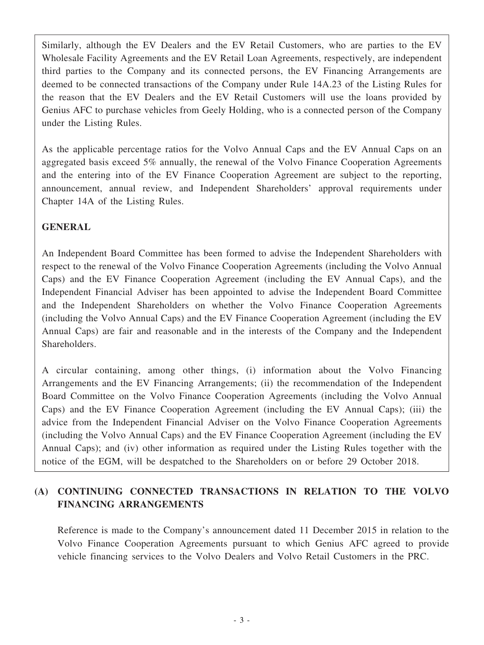Similarly, although the EV Dealers and the EV Retail Customers, who are parties to the EV Wholesale Facility Agreements and the EV Retail Loan Agreements, respectively, are independent third parties to the Company and its connected persons, the EV Financing Arrangements are deemed to be connected transactions of the Company under Rule 14A.23 of the Listing Rules for the reason that the EV Dealers and the EV Retail Customers will use the loans provided by Genius AFC to purchase vehicles from Geely Holding, who is a connected person of the Company under the Listing Rules.

As the applicable percentage ratios for the Volvo Annual Caps and the EV Annual Caps on an aggregated basis exceed 5% annually, the renewal of the Volvo Finance Cooperation Agreements and the entering into of the EV Finance Cooperation Agreement are subject to the reporting, announcement, annual review, and Independent Shareholders' approval requirements under Chapter 14A of the Listing Rules.

## **GENERAL**

An Independent Board Committee has been formed to advise the Independent Shareholders with respect to the renewal of the Volvo Finance Cooperation Agreements (including the Volvo Annual Caps) and the EV Finance Cooperation Agreement (including the EV Annual Caps), and the Independent Financial Adviser has been appointed to advise the Independent Board Committee and the Independent Shareholders on whether the Volvo Finance Cooperation Agreements (including the Volvo Annual Caps) and the EV Finance Cooperation Agreement (including the EV Annual Caps) are fair and reasonable and in the interests of the Company and the Independent Shareholders.

A circular containing, among other things, (i) information about the Volvo Financing Arrangements and the EV Financing Arrangements; (ii) the recommendation of the Independent Board Committee on the Volvo Finance Cooperation Agreements (including the Volvo Annual Caps) and the EV Finance Cooperation Agreement (including the EV Annual Caps); (iii) the advice from the Independent Financial Adviser on the Volvo Finance Cooperation Agreements (including the Volvo Annual Caps) and the EV Finance Cooperation Agreement (including the EV Annual Caps); and (iv) other information as required under the Listing Rules together with the notice of the EGM, will be despatched to the Shareholders on or before 29 October 2018.

## **(A) CONTINUING CONNECTED TRANSACTIONS IN RELATION TO THE VOLVO FINANCING ARRANGEMENTS**

Reference is made to the Company's announcement dated 11 December 2015 in relation to the Volvo Finance Cooperation Agreements pursuant to which Genius AFC agreed to provide vehicle financing services to the Volvo Dealers and Volvo Retail Customers in the PRC.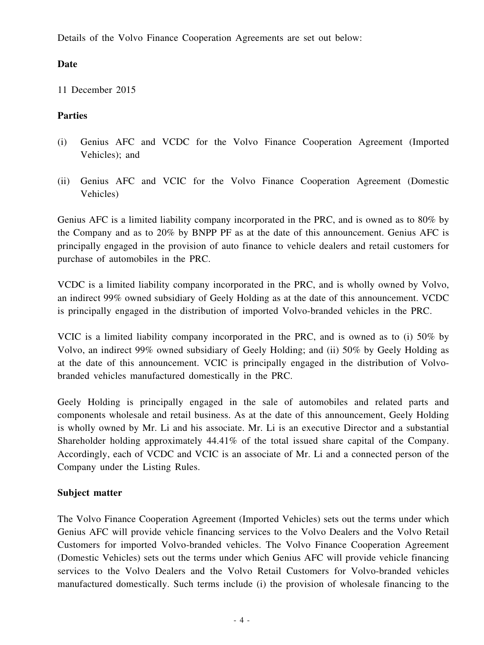Details of the Volvo Finance Cooperation Agreements are set out below:

## **Date**

11 December 2015

## **Parties**

- (i) Genius AFC and VCDC for the Volvo Finance Cooperation Agreement (Imported Vehicles); and
- (ii) Genius AFC and VCIC for the Volvo Finance Cooperation Agreement (Domestic Vehicles)

Genius AFC is a limited liability company incorporated in the PRC, and is owned as to 80% by the Company and as to 20% by BNPP PF as at the date of this announcement. Genius AFC is principally engaged in the provision of auto finance to vehicle dealers and retail customers for purchase of automobiles in the PRC.

VCDC is a limited liability company incorporated in the PRC, and is wholly owned by Volvo, an indirect 99% owned subsidiary of Geely Holding as at the date of this announcement. VCDC is principally engaged in the distribution of imported Volvo-branded vehicles in the PRC.

VCIC is a limited liability company incorporated in the PRC, and is owned as to (i) 50% by Volvo, an indirect 99% owned subsidiary of Geely Holding; and (ii) 50% by Geely Holding as at the date of this announcement. VCIC is principally engaged in the distribution of Volvobranded vehicles manufactured domestically in the PRC.

Geely Holding is principally engaged in the sale of automobiles and related parts and components wholesale and retail business. As at the date of this announcement, Geely Holding is wholly owned by Mr. Li and his associate. Mr. Li is an executive Director and a substantial Shareholder holding approximately 44.41% of the total issued share capital of the Company. Accordingly, each of VCDC and VCIC is an associate of Mr. Li and a connected person of the Company under the Listing Rules.

## **Subject matter**

The Volvo Finance Cooperation Agreement (Imported Vehicles) sets out the terms under which Genius AFC will provide vehicle financing services to the Volvo Dealers and the Volvo Retail Customers for imported Volvo-branded vehicles. The Volvo Finance Cooperation Agreement (Domestic Vehicles) sets out the terms under which Genius AFC will provide vehicle financing services to the Volvo Dealers and the Volvo Retail Customers for Volvo-branded vehicles manufactured domestically. Such terms include (i) the provision of wholesale financing to the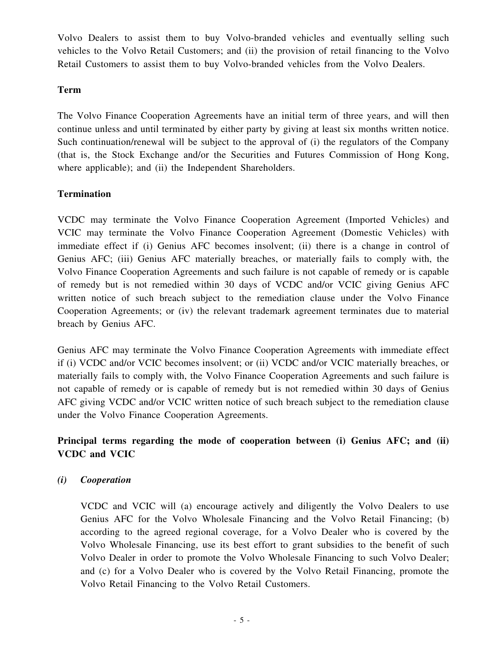Volvo Dealers to assist them to buy Volvo-branded vehicles and eventually selling such vehicles to the Volvo Retail Customers; and (ii) the provision of retail financing to the Volvo Retail Customers to assist them to buy Volvo-branded vehicles from the Volvo Dealers.

#### **Term**

The Volvo Finance Cooperation Agreements have an initial term of three years, and will then continue unless and until terminated by either party by giving at least six months written notice. Such continuation/renewal will be subject to the approval of (i) the regulators of the Company (that is, the Stock Exchange and/or the Securities and Futures Commission of Hong Kong, where applicable); and (ii) the Independent Shareholders.

## **Termination**

VCDC may terminate the Volvo Finance Cooperation Agreement (Imported Vehicles) and VCIC may terminate the Volvo Finance Cooperation Agreement (Domestic Vehicles) with immediate effect if (i) Genius AFC becomes insolvent; (ii) there is a change in control of Genius AFC; (iii) Genius AFC materially breaches, or materially fails to comply with, the Volvo Finance Cooperation Agreements and such failure is not capable of remedy or is capable of remedy but is not remedied within 30 days of VCDC and/or VCIC giving Genius AFC written notice of such breach subject to the remediation clause under the Volvo Finance Cooperation Agreements; or (iv) the relevant trademark agreement terminates due to material breach by Genius AFC.

Genius AFC may terminate the Volvo Finance Cooperation Agreements with immediate effect if (i) VCDC and/or VCIC becomes insolvent; or (ii) VCDC and/or VCIC materially breaches, or materially fails to comply with, the Volvo Finance Cooperation Agreements and such failure is not capable of remedy or is capable of remedy but is not remedied within 30 days of Genius AFC giving VCDC and/or VCIC written notice of such breach subject to the remediation clause under the Volvo Finance Cooperation Agreements.

## **Principal terms regarding the mode of cooperation between (i) Genius AFC; and (ii) VCDC and VCIC**

### *(i) Cooperation*

VCDC and VCIC will (a) encourage actively and diligently the Volvo Dealers to use Genius AFC for the Volvo Wholesale Financing and the Volvo Retail Financing; (b) according to the agreed regional coverage, for a Volvo Dealer who is covered by the Volvo Wholesale Financing, use its best effort to grant subsidies to the benefit of such Volvo Dealer in order to promote the Volvo Wholesale Financing to such Volvo Dealer; and (c) for a Volvo Dealer who is covered by the Volvo Retail Financing, promote the Volvo Retail Financing to the Volvo Retail Customers.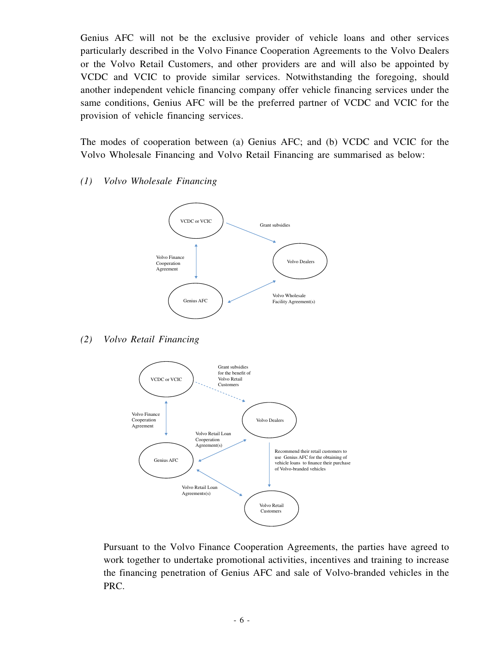Genius AFC will not be the exclusive provider of vehicle loans and other services particularly described in the Volvo Finance Cooperation Agreements to the Volvo Dealers or the Volvo Retail Customers, and other providers are and will also be appointed by VCDC and VCIC to provide similar services. Notwithstanding the foregoing, should another independent vehicle financing company offer vehicle financing services under the same conditions, Genius AFC will be the preferred partner of VCDC and VCIC for the provision of vehicle financing services.

The modes of cooperation between (a) Genius AFC; and (b) VCDC and VCIC for the Volvo Wholesale Financing and Volvo Retail Financing are summarised as below:

#### *(1) Volvo Wholesale Financing*



#### *(2) Volvo Retail Financing*



Pursuant to the Volvo Finance Cooperation Agreements, the parties have agreed to work together to undertake promotional activities, incentives and training to increase the financing penetration of Genius AFC and sale of Volvo-branded vehicles in the PRC.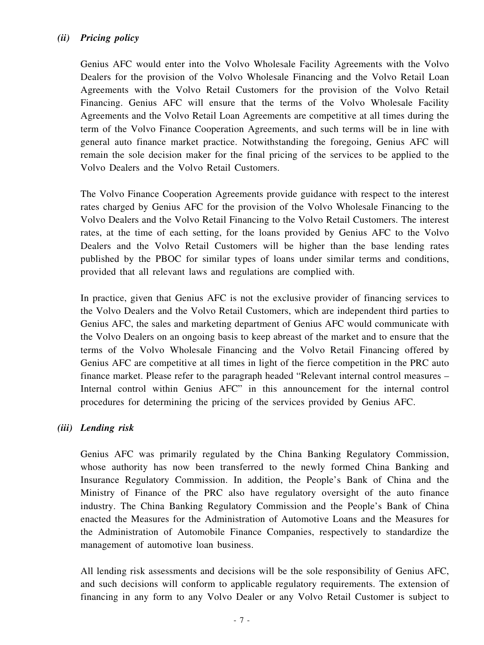### *(ii) Pricing policy*

Genius AFC would enter into the Volvo Wholesale Facility Agreements with the Volvo Dealers for the provision of the Volvo Wholesale Financing and the Volvo Retail Loan Agreements with the Volvo Retail Customers for the provision of the Volvo Retail Financing. Genius AFC will ensure that the terms of the Volvo Wholesale Facility Agreements and the Volvo Retail Loan Agreements are competitive at all times during the term of the Volvo Finance Cooperation Agreements, and such terms will be in line with general auto finance market practice. Notwithstanding the foregoing, Genius AFC will remain the sole decision maker for the final pricing of the services to be applied to the Volvo Dealers and the Volvo Retail Customers.

The Volvo Finance Cooperation Agreements provide guidance with respect to the interest rates charged by Genius AFC for the provision of the Volvo Wholesale Financing to the Volvo Dealers and the Volvo Retail Financing to the Volvo Retail Customers. The interest rates, at the time of each setting, for the loans provided by Genius AFC to the Volvo Dealers and the Volvo Retail Customers will be higher than the base lending rates published by the PBOC for similar types of loans under similar terms and conditions, provided that all relevant laws and regulations are complied with.

In practice, given that Genius AFC is not the exclusive provider of financing services to the Volvo Dealers and the Volvo Retail Customers, which are independent third parties to Genius AFC, the sales and marketing department of Genius AFC would communicate with the Volvo Dealers on an ongoing basis to keep abreast of the market and to ensure that the terms of the Volvo Wholesale Financing and the Volvo Retail Financing offered by Genius AFC are competitive at all times in light of the fierce competition in the PRC auto finance market. Please refer to the paragraph headed "Relevant internal control measures – Internal control within Genius AFC" in this announcement for the internal control procedures for determining the pricing of the services provided by Genius AFC.

### *(iii) Lending risk*

Genius AFC was primarily regulated by the China Banking Regulatory Commission, whose authority has now been transferred to the newly formed China Banking and Insurance Regulatory Commission. In addition, the People's Bank of China and the Ministry of Finance of the PRC also have regulatory oversight of the auto finance industry. The China Banking Regulatory Commission and the People's Bank of China enacted the Measures for the Administration of Automotive Loans and the Measures for the Administration of Automobile Finance Companies, respectively to standardize the management of automotive loan business.

All lending risk assessments and decisions will be the sole responsibility of Genius AFC, and such decisions will conform to applicable regulatory requirements. The extension of financing in any form to any Volvo Dealer or any Volvo Retail Customer is subject to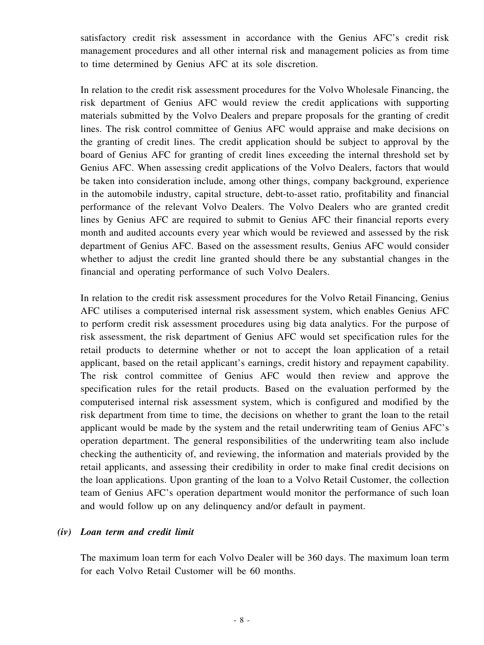satisfactory credit risk assessment in accordance with the Genius AFC's credit risk management procedures and all other internal risk and management policies as from time to time determined by Genius AFC at its sole discretion.

In relation to the credit risk assessment procedures for the Volvo Wholesale Financing, the risk department of Genius AFC would review the credit applications with supporting materials submitted by the Volvo Dealers and prepare proposals for the granting of credit lines. The risk control committee of Genius AFC would appraise and make decisions on the granting of credit lines. The credit application should be subject to approval by the board of Genius AFC for granting of credit lines exceeding the internal threshold set by Genius AFC. When assessing credit applications of the Volvo Dealers, factors that would be taken into consideration include, among other things, company background, experience in the automobile industry, capital structure, debt-to-asset ratio, profitability and financial performance of the relevant Volvo Dealers. The Volvo Dealers who are granted credit lines by Genius AFC are required to submit to Genius AFC their financial reports every month and audited accounts every year which would be reviewed and assessed by the risk department of Genius AFC. Based on the assessment results, Genius AFC would consider whether to adjust the credit line granted should there be any substantial changes in the financial and operating performance of such Volvo Dealers.

In relation to the credit risk assessment procedures for the Volvo Retail Financing, Genius AFC utilises a computerised internal risk assessment system, which enables Genius AFC to perform credit risk assessment procedures using big data analytics. For the purpose of risk assessment, the risk department of Genius AFC would set specification rules for the retail products to determine whether or not to accept the loan application of a retail applicant, based on the retail applicant's earnings, credit history and repayment capability. The risk control committee of Genius AFC would then review and approve the specification rules for the retail products. Based on the evaluation performed by the computerised internal risk assessment system, which is configured and modified by the risk department from time to time, the decisions on whether to grant the loan to the retail applicant would be made by the system and the retail underwriting team of Genius AFC's operation department. The general responsibilities of the underwriting team also include checking the authenticity of, and reviewing, the information and materials provided by the retail applicants, and assessing their credibility in order to make final credit decisions on the loan applications. Upon granting of the loan to a Volvo Retail Customer, the collection team of Genius AFC's operation department would monitor the performance of such loan and would follow up on any delinquency and/or default in payment.

#### *(iv) Loan term and credit limit*

The maximum loan term for each Volvo Dealer will be 360 days. The maximum loan term for each Volvo Retail Customer will be 60 months.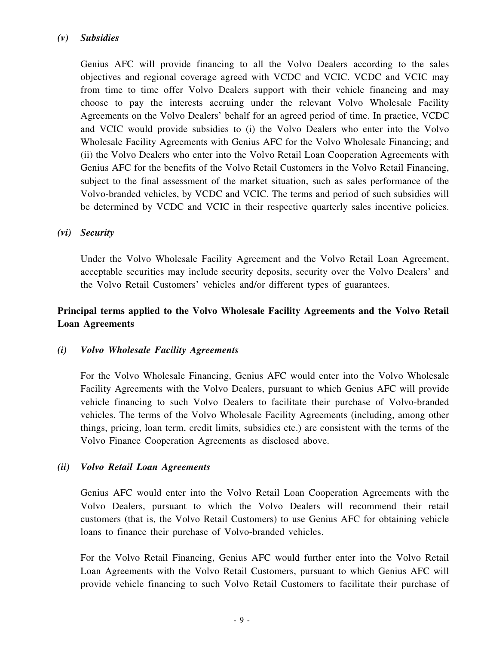### *(v) Subsidies*

Genius AFC will provide financing to all the Volvo Dealers according to the sales objectives and regional coverage agreed with VCDC and VCIC. VCDC and VCIC may from time to time offer Volvo Dealers support with their vehicle financing and may choose to pay the interests accruing under the relevant Volvo Wholesale Facility Agreements on the Volvo Dealers' behalf for an agreed period of time. In practice, VCDC and VCIC would provide subsidies to (i) the Volvo Dealers who enter into the Volvo Wholesale Facility Agreements with Genius AFC for the Volvo Wholesale Financing; and (ii) the Volvo Dealers who enter into the Volvo Retail Loan Cooperation Agreements with Genius AFC for the benefits of the Volvo Retail Customers in the Volvo Retail Financing, subject to the final assessment of the market situation, such as sales performance of the Volvo-branded vehicles, by VCDC and VCIC. The terms and period of such subsidies will be determined by VCDC and VCIC in their respective quarterly sales incentive policies.

#### *(vi) Security*

Under the Volvo Wholesale Facility Agreement and the Volvo Retail Loan Agreement, acceptable securities may include security deposits, security over the Volvo Dealers' and the Volvo Retail Customers' vehicles and/or different types of guarantees.

## **Principal terms applied to the Volvo Wholesale Facility Agreements and the Volvo Retail Loan Agreements**

### *(i) Volvo Wholesale Facility Agreements*

For the Volvo Wholesale Financing, Genius AFC would enter into the Volvo Wholesale Facility Agreements with the Volvo Dealers, pursuant to which Genius AFC will provide vehicle financing to such Volvo Dealers to facilitate their purchase of Volvo-branded vehicles. The terms of the Volvo Wholesale Facility Agreements (including, among other things, pricing, loan term, credit limits, subsidies etc.) are consistent with the terms of the Volvo Finance Cooperation Agreements as disclosed above.

#### *(ii) Volvo Retail Loan Agreements*

Genius AFC would enter into the Volvo Retail Loan Cooperation Agreements with the Volvo Dealers, pursuant to which the Volvo Dealers will recommend their retail customers (that is, the Volvo Retail Customers) to use Genius AFC for obtaining vehicle loans to finance their purchase of Volvo-branded vehicles.

For the Volvo Retail Financing, Genius AFC would further enter into the Volvo Retail Loan Agreements with the Volvo Retail Customers, pursuant to which Genius AFC will provide vehicle financing to such Volvo Retail Customers to facilitate their purchase of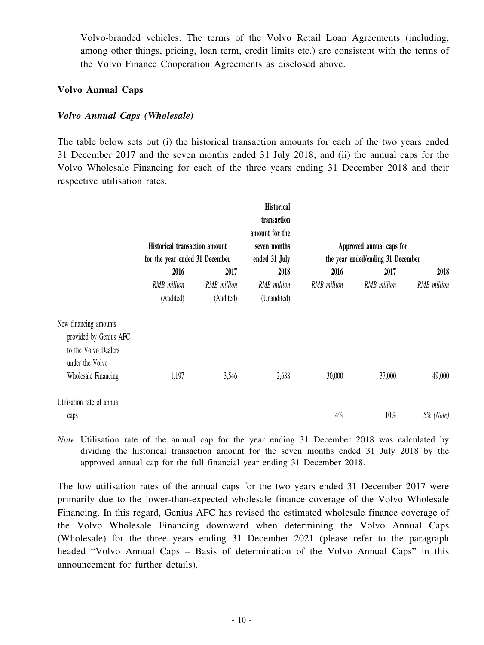Volvo-branded vehicles. The terms of the Volvo Retail Loan Agreements (including, among other things, pricing, loan term, credit limits etc.) are consistent with the terms of the Volvo Finance Cooperation Agreements as disclosed above.

#### **Volvo Annual Caps**

#### *Volvo Annual Caps (Wholesale)*

The table below sets out (i) the historical transaction amounts for each of the two years ended 31 December 2017 and the seven months ended 31 July 2018; and (ii) the annual caps for the Volvo Wholesale Financing for each of the three years ending 31 December 2018 and their respective utilisation rates.

|                                                                                                                   | <b>Historical transaction amount</b><br>for the year ended 31 December |                          | <b>Historical</b><br>transaction<br>amount for the<br>seven months<br>ended 31 July |             | Approved annual caps for<br>the year ended/ending 31 December |              |
|-------------------------------------------------------------------------------------------------------------------|------------------------------------------------------------------------|--------------------------|-------------------------------------------------------------------------------------|-------------|---------------------------------------------------------------|--------------|
|                                                                                                                   | 2016                                                                   | 2017                     | 2018                                                                                | 2016        | 2017                                                          | 2018         |
|                                                                                                                   | RMB million<br>(Audited)                                               | RMB million<br>(Audited) | RMB million<br>(Unaudited)                                                          | RMB million | RMB million                                                   | RMB million  |
| New financing amounts<br>provided by Genius AFC<br>to the Volvo Dealers<br>under the Volvo<br>Wholesale Financing | 1,197                                                                  | 3,546                    | 2,688                                                                               | 30,000      | 37,000                                                        | 49,000       |
|                                                                                                                   |                                                                        |                          |                                                                                     |             |                                                               |              |
| Utilisation rate of annual<br>caps                                                                                |                                                                        |                          |                                                                                     | $4\%$       | $10\%$                                                        | $5\%$ (Note) |

*Note:* Utilisation rate of the annual cap for the year ending 31 December 2018 was calculated by dividing the historical transaction amount for the seven months ended 31 July 2018 by the approved annual cap for the full financial year ending 31 December 2018.

The low utilisation rates of the annual caps for the two years ended 31 December 2017 were primarily due to the lower-than-expected wholesale finance coverage of the Volvo Wholesale Financing. In this regard, Genius AFC has revised the estimated wholesale finance coverage of the Volvo Wholesale Financing downward when determining the Volvo Annual Caps (Wholesale) for the three years ending 31 December 2021 (please refer to the paragraph headed "Volvo Annual Caps – Basis of determination of the Volvo Annual Caps" in this announcement for further details).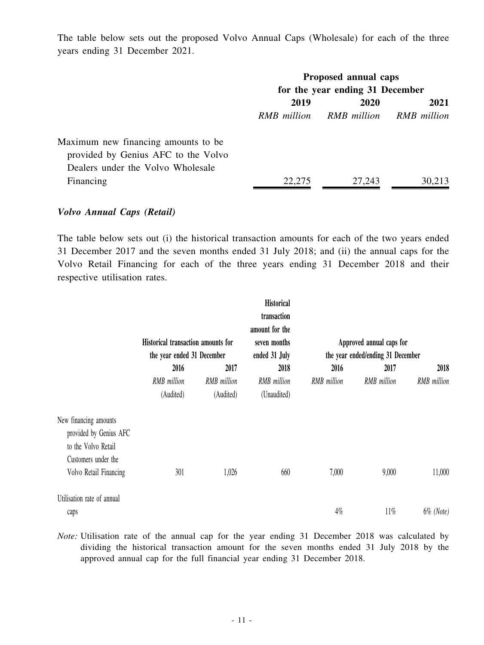The table below sets out the proposed Volvo Annual Caps (Wholesale) for each of the three years ending 31 December 2021.

|                                     | Proposed annual caps<br>for the year ending 31 December |                         |        |
|-------------------------------------|---------------------------------------------------------|-------------------------|--------|
|                                     | 2019<br><b>2020</b>                                     |                         | 2021   |
|                                     | RMB million                                             | RMB million RMB million |        |
| Maximum new financing amounts to be |                                                         |                         |        |
| provided by Genius AFC to the Volvo |                                                         |                         |        |
| Dealers under the Volvo Wholesale   |                                                         |                         |        |
| Financing                           | 22,275                                                  | 27,243                  | 30,213 |

#### *Volvo Annual Caps (Retail)*

The table below sets out (i) the historical transaction amounts for each of the two years ended 31 December 2017 and the seven months ended 31 July 2018; and (ii) the annual caps for the Volvo Retail Financing for each of the three years ending 31 December 2018 and their respective utilisation rates.

|                                                                                                                         |                                                                  |                                 | <b>Historical</b><br>transaction                |                    |                                                               |              |
|-------------------------------------------------------------------------------------------------------------------------|------------------------------------------------------------------|---------------------------------|-------------------------------------------------|--------------------|---------------------------------------------------------------|--------------|
|                                                                                                                         | Historical transaction amounts for<br>the year ended 31 December |                                 | amount for the<br>seven months<br>ended 31 July |                    | Approved annual caps for<br>the year ended/ending 31 December |              |
|                                                                                                                         | 2016                                                             | 2017                            | 2018                                            | 2016               | 2017                                                          | 2018         |
|                                                                                                                         | <b>RMB</b> million<br>(Audited)                                  | <b>RMB</b> million<br>(Audited) | RMB million<br>(Unaudited)                      | <b>RMB</b> million | RMB million                                                   | RMB million  |
| New financing amounts<br>provided by Genius AFC<br>to the Volvo Retail<br>Customers under the<br>Volvo Retail Financing | 301                                                              | 1,026                           | 660                                             | 7,000              | 9,000                                                         | 11,000       |
| Utilisation rate of annual<br>caps                                                                                      |                                                                  |                                 |                                                 | $4\%$              | $11\%$                                                        | $6\%$ (Note) |

*Note:* Utilisation rate of the annual cap for the year ending 31 December 2018 was calculated by dividing the historical transaction amount for the seven months ended 31 July 2018 by the approved annual cap for the full financial year ending 31 December 2018.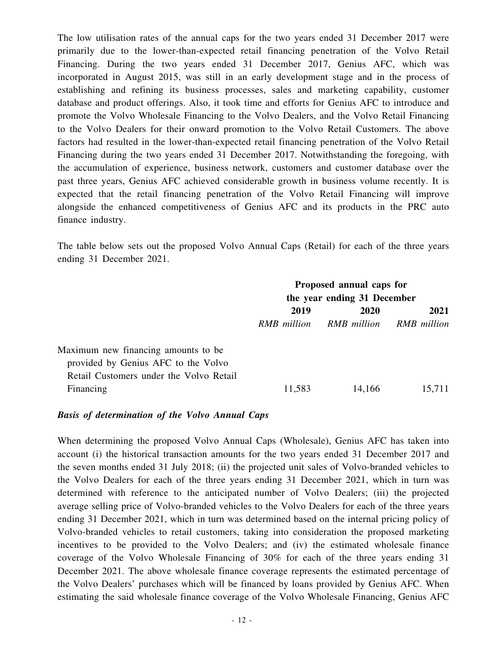The low utilisation rates of the annual caps for the two years ended 31 December 2017 were primarily due to the lower-than-expected retail financing penetration of the Volvo Retail Financing. During the two years ended 31 December 2017, Genius AFC, which was incorporated in August 2015, was still in an early development stage and in the process of establishing and refining its business processes, sales and marketing capability, customer database and product offerings. Also, it took time and efforts for Genius AFC to introduce and promote the Volvo Wholesale Financing to the Volvo Dealers, and the Volvo Retail Financing to the Volvo Dealers for their onward promotion to the Volvo Retail Customers. The above factors had resulted in the lower-than-expected retail financing penetration of the Volvo Retail Financing during the two years ended 31 December 2017. Notwithstanding the foregoing, with the accumulation of experience, business network, customers and customer database over the past three years, Genius AFC achieved considerable growth in business volume recently. It is expected that the retail financing penetration of the Volvo Retail Financing will improve alongside the enhanced competitiveness of Genius AFC and its products in the PRC auto finance industry.

The table below sets out the proposed Volvo Annual Caps (Retail) for each of the three years ending 31 December 2021.

|                                         | Proposed annual caps for<br>the year ending 31 December |                         |        |  |
|-----------------------------------------|---------------------------------------------------------|-------------------------|--------|--|
|                                         |                                                         |                         |        |  |
|                                         | 2019<br>2020                                            |                         | 2021   |  |
|                                         | RMB million                                             | RMB million RMB million |        |  |
| Maximum new financing amounts to be     |                                                         |                         |        |  |
| provided by Genius AFC to the Volvo     |                                                         |                         |        |  |
| Retail Customers under the Volvo Retail |                                                         |                         |        |  |
| Financing                               | 11,583                                                  | 14,166                  | 15,711 |  |

#### *Basis of determination of the Volvo Annual Caps*

When determining the proposed Volvo Annual Caps (Wholesale), Genius AFC has taken into account (i) the historical transaction amounts for the two years ended 31 December 2017 and the seven months ended 31 July 2018; (ii) the projected unit sales of Volvo-branded vehicles to the Volvo Dealers for each of the three years ending 31 December 2021, which in turn was determined with reference to the anticipated number of Volvo Dealers; (iii) the projected average selling price of Volvo-branded vehicles to the Volvo Dealers for each of the three years ending 31 December 2021, which in turn was determined based on the internal pricing policy of Volvo-branded vehicles to retail customers, taking into consideration the proposed marketing incentives to be provided to the Volvo Dealers; and (iv) the estimated wholesale finance coverage of the Volvo Wholesale Financing of 30% for each of the three years ending 31 December 2021. The above wholesale finance coverage represents the estimated percentage of the Volvo Dealers' purchases which will be financed by loans provided by Genius AFC. When estimating the said wholesale finance coverage of the Volvo Wholesale Financing, Genius AFC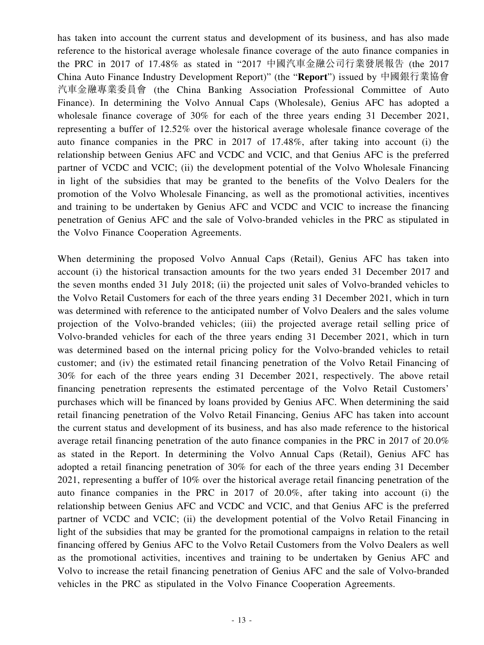has taken into account the current status and development of its business, and has also made reference to the historical average wholesale finance coverage of the auto finance companies in the PRC in 2017 of 17.48% as stated in "2017 中國汽車金融公司行業發展報告 (the 2017 China Auto Finance Industry Development Report)" (the "**Report**") issued by 中國銀行業協會 汽車金融專業委員會 (the China Banking Association Professional Committee of Auto Finance). In determining the Volvo Annual Caps (Wholesale), Genius AFC has adopted a wholesale finance coverage of 30% for each of the three years ending 31 December 2021, representing a buffer of 12.52% over the historical average wholesale finance coverage of the auto finance companies in the PRC in 2017 of 17.48%, after taking into account (i) the relationship between Genius AFC and VCDC and VCIC, and that Genius AFC is the preferred partner of VCDC and VCIC; (ii) the development potential of the Volvo Wholesale Financing in light of the subsidies that may be granted to the benefits of the Volvo Dealers for the promotion of the Volvo Wholesale Financing, as well as the promotional activities, incentives and training to be undertaken by Genius AFC and VCDC and VCIC to increase the financing penetration of Genius AFC and the sale of Volvo-branded vehicles in the PRC as stipulated in the Volvo Finance Cooperation Agreements.

When determining the proposed Volvo Annual Caps (Retail), Genius AFC has taken into account (i) the historical transaction amounts for the two years ended 31 December 2017 and the seven months ended 31 July 2018; (ii) the projected unit sales of Volvo-branded vehicles to the Volvo Retail Customers for each of the three years ending 31 December 2021, which in turn was determined with reference to the anticipated number of Volvo Dealers and the sales volume projection of the Volvo-branded vehicles; (iii) the projected average retail selling price of Volvo-branded vehicles for each of the three years ending 31 December 2021, which in turn was determined based on the internal pricing policy for the Volvo-branded vehicles to retail customer; and (iv) the estimated retail financing penetration of the Volvo Retail Financing of 30% for each of the three years ending 31 December 2021, respectively. The above retail financing penetration represents the estimated percentage of the Volvo Retail Customers' purchases which will be financed by loans provided by Genius AFC. When determining the said retail financing penetration of the Volvo Retail Financing, Genius AFC has taken into account the current status and development of its business, and has also made reference to the historical average retail financing penetration of the auto finance companies in the PRC in 2017 of 20.0% as stated in the Report. In determining the Volvo Annual Caps (Retail), Genius AFC has adopted a retail financing penetration of 30% for each of the three years ending 31 December 2021, representing a buffer of 10% over the historical average retail financing penetration of the auto finance companies in the PRC in 2017 of 20.0%, after taking into account (i) the relationship between Genius AFC and VCDC and VCIC, and that Genius AFC is the preferred partner of VCDC and VCIC; (ii) the development potential of the Volvo Retail Financing in light of the subsidies that may be granted for the promotional campaigns in relation to the retail financing offered by Genius AFC to the Volvo Retail Customers from the Volvo Dealers as well as the promotional activities, incentives and training to be undertaken by Genius AFC and Volvo to increase the retail financing penetration of Genius AFC and the sale of Volvo-branded vehicles in the PRC as stipulated in the Volvo Finance Cooperation Agreements.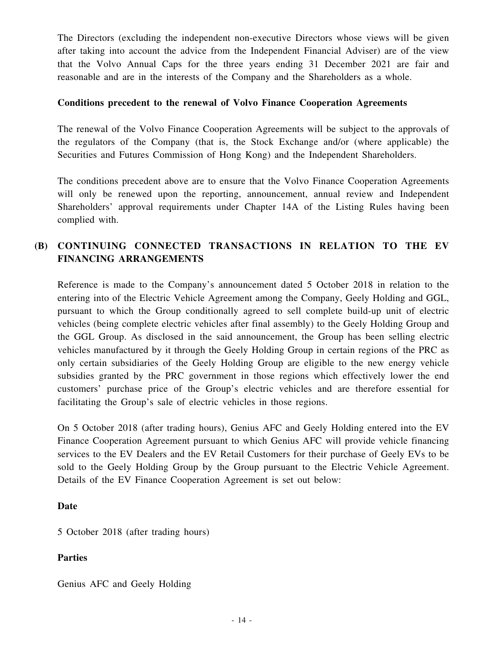The Directors (excluding the independent non-executive Directors whose views will be given after taking into account the advice from the Independent Financial Adviser) are of the view that the Volvo Annual Caps for the three years ending 31 December 2021 are fair and reasonable and are in the interests of the Company and the Shareholders as a whole.

#### **Conditions precedent to the renewal of Volvo Finance Cooperation Agreements**

The renewal of the Volvo Finance Cooperation Agreements will be subject to the approvals of the regulators of the Company (that is, the Stock Exchange and/or (where applicable) the Securities and Futures Commission of Hong Kong) and the Independent Shareholders.

The conditions precedent above are to ensure that the Volvo Finance Cooperation Agreements will only be renewed upon the reporting, announcement, annual review and Independent Shareholders' approval requirements under Chapter 14A of the Listing Rules having been complied with.

## **(B) CONTINUING CONNECTED TRANSACTIONS IN RELATION TO THE EV FINANCING ARRANGEMENTS**

Reference is made to the Company's announcement dated 5 October 2018 in relation to the entering into of the Electric Vehicle Agreement among the Company, Geely Holding and GGL, pursuant to which the Group conditionally agreed to sell complete build-up unit of electric vehicles (being complete electric vehicles after final assembly) to the Geely Holding Group and the GGL Group. As disclosed in the said announcement, the Group has been selling electric vehicles manufactured by it through the Geely Holding Group in certain regions of the PRC as only certain subsidiaries of the Geely Holding Group are eligible to the new energy vehicle subsidies granted by the PRC government in those regions which effectively lower the end customers' purchase price of the Group's electric vehicles and are therefore essential for facilitating the Group's sale of electric vehicles in those regions.

On 5 October 2018 (after trading hours), Genius AFC and Geely Holding entered into the EV Finance Cooperation Agreement pursuant to which Genius AFC will provide vehicle financing services to the EV Dealers and the EV Retail Customers for their purchase of Geely EVs to be sold to the Geely Holding Group by the Group pursuant to the Electric Vehicle Agreement. Details of the EV Finance Cooperation Agreement is set out below:

#### **Date**

5 October 2018 (after trading hours)

### **Parties**

Genius AFC and Geely Holding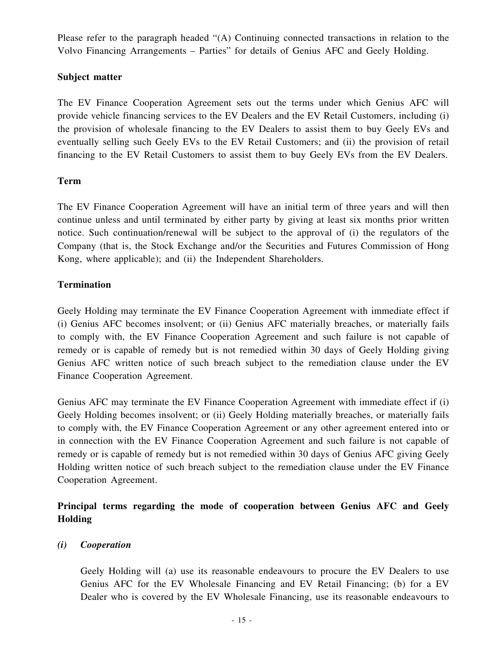Please refer to the paragraph headed "(A) Continuing connected transactions in relation to the Volvo Financing Arrangements – Parties" for details of Genius AFC and Geely Holding.

### **Subject matter**

The EV Finance Cooperation Agreement sets out the terms under which Genius AFC will provide vehicle financing services to the EV Dealers and the EV Retail Customers, including (i) the provision of wholesale financing to the EV Dealers to assist them to buy Geely EVs and eventually selling such Geely EVs to the EV Retail Customers; and (ii) the provision of retail financing to the EV Retail Customers to assist them to buy Geely EVs from the EV Dealers.

### **Term**

The EV Finance Cooperation Agreement will have an initial term of three years and will then continue unless and until terminated by either party by giving at least six months prior written notice. Such continuation/renewal will be subject to the approval of (i) the regulators of the Company (that is, the Stock Exchange and/or the Securities and Futures Commission of Hong Kong, where applicable); and (ii) the Independent Shareholders.

### **Termination**

Geely Holding may terminate the EV Finance Cooperation Agreement with immediate effect if (i) Genius AFC becomes insolvent; or (ii) Genius AFC materially breaches, or materially fails to comply with, the EV Finance Cooperation Agreement and such failure is not capable of remedy or is capable of remedy but is not remedied within 30 days of Geely Holding giving Genius AFC written notice of such breach subject to the remediation clause under the EV Finance Cooperation Agreement.

Genius AFC may terminate the EV Finance Cooperation Agreement with immediate effect if (i) Geely Holding becomes insolvent; or (ii) Geely Holding materially breaches, or materially fails to comply with, the EV Finance Cooperation Agreement or any other agreement entered into or in connection with the EV Finance Cooperation Agreement and such failure is not capable of remedy or is capable of remedy but is not remedied within 30 days of Genius AFC giving Geely Holding written notice of such breach subject to the remediation clause under the EV Finance Cooperation Agreement.

## **Principal terms regarding the mode of cooperation between Genius AFC and Geely Holding**

### *(i) Cooperation*

Geely Holding will (a) use its reasonable endeavours to procure the EV Dealers to use Genius AFC for the EV Wholesale Financing and EV Retail Financing; (b) for a EV Dealer who is covered by the EV Wholesale Financing, use its reasonable endeavours to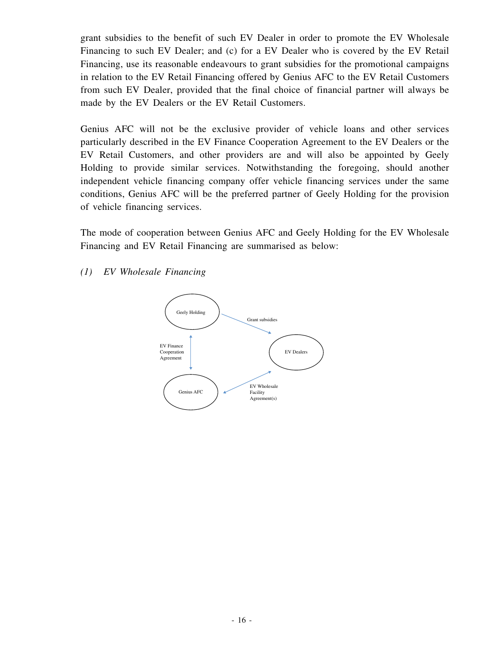grant subsidies to the benefit of such EV Dealer in order to promote the EV Wholesale Financing to such EV Dealer; and (c) for a EV Dealer who is covered by the EV Retail Financing, use its reasonable endeavours to grant subsidies for the promotional campaigns in relation to the EV Retail Financing offered by Genius AFC to the EV Retail Customers from such EV Dealer, provided that the final choice of financial partner will always be made by the EV Dealers or the EV Retail Customers.

Genius AFC will not be the exclusive provider of vehicle loans and other services particularly described in the EV Finance Cooperation Agreement to the EV Dealers or the EV Retail Customers, and other providers are and will also be appointed by Geely Holding to provide similar services. Notwithstanding the foregoing, should another independent vehicle financing company offer vehicle financing services under the same conditions, Genius AFC will be the preferred partner of Geely Holding for the provision of vehicle financing services.

The mode of cooperation between Genius AFC and Geely Holding for the EV Wholesale Financing and EV Retail Financing are summarised as below:

#### *(1) EV Wholesale Financing*

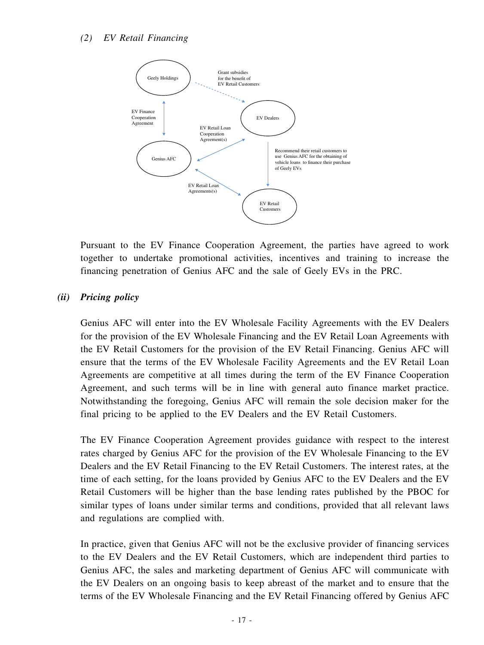

Pursuant to the EV Finance Cooperation Agreement, the parties have agreed to work together to undertake promotional activities, incentives and training to increase the financing penetration of Genius AFC and the sale of Geely EVs in the PRC.

## *(ii) Pricing policy*

Genius AFC will enter into the EV Wholesale Facility Agreements with the EV Dealers for the provision of the EV Wholesale Financing and the EV Retail Loan Agreements with the EV Retail Customers for the provision of the EV Retail Financing. Genius AFC will ensure that the terms of the EV Wholesale Facility Agreements and the EV Retail Loan Agreements are competitive at all times during the term of the EV Finance Cooperation Agreement, and such terms will be in line with general auto finance market practice. Notwithstanding the foregoing, Genius AFC will remain the sole decision maker for the final pricing to be applied to the EV Dealers and the EV Retail Customers.

The EV Finance Cooperation Agreement provides guidance with respect to the interest rates charged by Genius AFC for the provision of the EV Wholesale Financing to the EV Dealers and the EV Retail Financing to the EV Retail Customers. The interest rates, at the time of each setting, for the loans provided by Genius AFC to the EV Dealers and the EV Retail Customers will be higher than the base lending rates published by the PBOC for similar types of loans under similar terms and conditions, provided that all relevant laws and regulations are complied with.

In practice, given that Genius AFC will not be the exclusive provider of financing services to the EV Dealers and the EV Retail Customers, which are independent third parties to Genius AFC, the sales and marketing department of Genius AFC will communicate with the EV Dealers on an ongoing basis to keep abreast of the market and to ensure that the terms of the EV Wholesale Financing and the EV Retail Financing offered by Genius AFC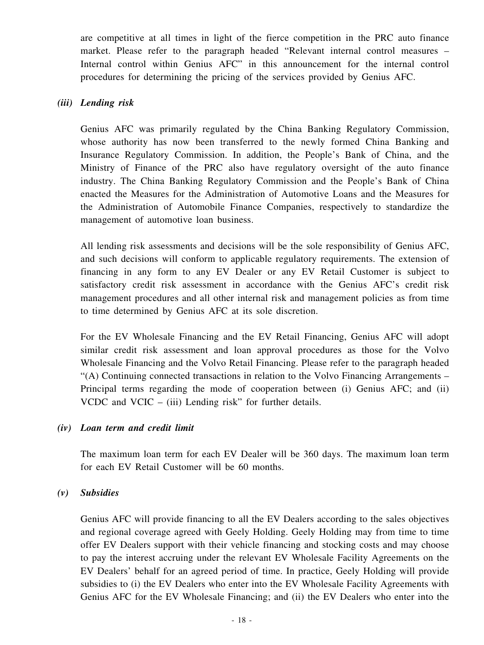are competitive at all times in light of the fierce competition in the PRC auto finance market. Please refer to the paragraph headed "Relevant internal control measures – Internal control within Genius AFC" in this announcement for the internal control procedures for determining the pricing of the services provided by Genius AFC.

### *(iii) Lending risk*

Genius AFC was primarily regulated by the China Banking Regulatory Commission, whose authority has now been transferred to the newly formed China Banking and Insurance Regulatory Commission. In addition, the People's Bank of China, and the Ministry of Finance of the PRC also have regulatory oversight of the auto finance industry. The China Banking Regulatory Commission and the People's Bank of China enacted the Measures for the Administration of Automotive Loans and the Measures for the Administration of Automobile Finance Companies, respectively to standardize the management of automotive loan business.

All lending risk assessments and decisions will be the sole responsibility of Genius AFC, and such decisions will conform to applicable regulatory requirements. The extension of financing in any form to any EV Dealer or any EV Retail Customer is subject to satisfactory credit risk assessment in accordance with the Genius AFC's credit risk management procedures and all other internal risk and management policies as from time to time determined by Genius AFC at its sole discretion.

For the EV Wholesale Financing and the EV Retail Financing, Genius AFC will adopt similar credit risk assessment and loan approval procedures as those for the Volvo Wholesale Financing and the Volvo Retail Financing. Please refer to the paragraph headed "(A) Continuing connected transactions in relation to the Volvo Financing Arrangements – Principal terms regarding the mode of cooperation between (i) Genius AFC; and (ii) VCDC and VCIC  $-$  (iii) Lending risk" for further details.

### *(iv) Loan term and credit limit*

The maximum loan term for each EV Dealer will be 360 days. The maximum loan term for each EV Retail Customer will be 60 months.

#### *(v) Subsidies*

Genius AFC will provide financing to all the EV Dealers according to the sales objectives and regional coverage agreed with Geely Holding. Geely Holding may from time to time offer EV Dealers support with their vehicle financing and stocking costs and may choose to pay the interest accruing under the relevant EV Wholesale Facility Agreements on the EV Dealers' behalf for an agreed period of time. In practice, Geely Holding will provide subsidies to (i) the EV Dealers who enter into the EV Wholesale Facility Agreements with Genius AFC for the EV Wholesale Financing; and (ii) the EV Dealers who enter into the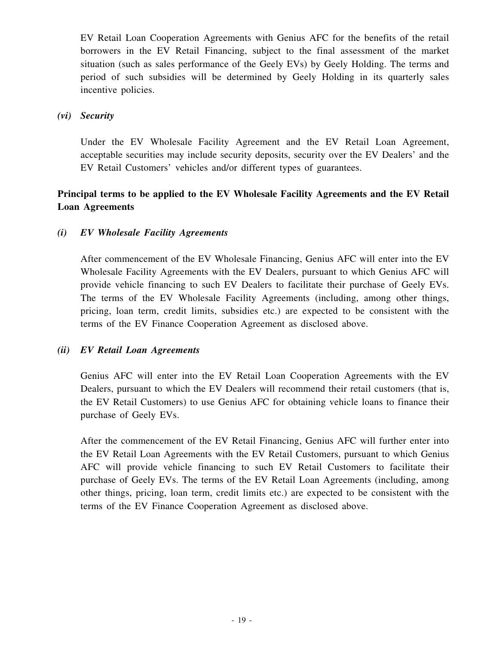EV Retail Loan Cooperation Agreements with Genius AFC for the benefits of the retail borrowers in the EV Retail Financing, subject to the final assessment of the market situation (such as sales performance of the Geely EVs) by Geely Holding. The terms and period of such subsidies will be determined by Geely Holding in its quarterly sales incentive policies.

### *(vi) Security*

Under the EV Wholesale Facility Agreement and the EV Retail Loan Agreement, acceptable securities may include security deposits, security over the EV Dealers' and the EV Retail Customers' vehicles and/or different types of guarantees.

## **Principal terms to be applied to the EV Wholesale Facility Agreements and the EV Retail Loan Agreements**

### *(i) EV Wholesale Facility Agreements*

After commencement of the EV Wholesale Financing, Genius AFC will enter into the EV Wholesale Facility Agreements with the EV Dealers, pursuant to which Genius AFC will provide vehicle financing to such EV Dealers to facilitate their purchase of Geely EVs. The terms of the EV Wholesale Facility Agreements (including, among other things, pricing, loan term, credit limits, subsidies etc.) are expected to be consistent with the terms of the EV Finance Cooperation Agreement as disclosed above.

#### *(ii) EV Retail Loan Agreements*

Genius AFC will enter into the EV Retail Loan Cooperation Agreements with the EV Dealers, pursuant to which the EV Dealers will recommend their retail customers (that is, the EV Retail Customers) to use Genius AFC for obtaining vehicle loans to finance their purchase of Geely EVs.

After the commencement of the EV Retail Financing, Genius AFC will further enter into the EV Retail Loan Agreements with the EV Retail Customers, pursuant to which Genius AFC will provide vehicle financing to such EV Retail Customers to facilitate their purchase of Geely EVs. The terms of the EV Retail Loan Agreements (including, among other things, pricing, loan term, credit limits etc.) are expected to be consistent with the terms of the EV Finance Cooperation Agreement as disclosed above.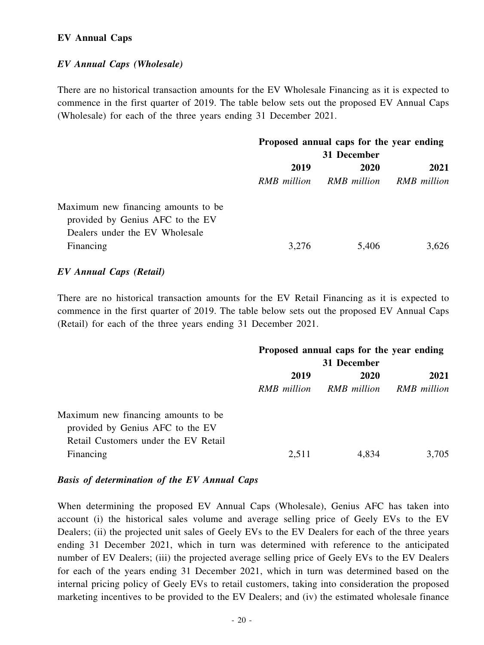#### **EV Annual Caps**

#### *EV Annual Caps (Wholesale)*

There are no historical transaction amounts for the EV Wholesale Financing as it is expected to commence in the first quarter of 2019. The table below sets out the proposed EV Annual Caps (Wholesale) for each of the three years ending 31 December 2021.

|                                     | Proposed annual caps for the year ending |             |             |
|-------------------------------------|------------------------------------------|-------------|-------------|
|                                     | 31 December                              |             |             |
|                                     | 2019<br><b>2020</b>                      |             | 2021        |
|                                     | RMB million                              | RMB million | RMB million |
| Maximum new financing amounts to be |                                          |             |             |
| provided by Genius AFC to the EV    |                                          |             |             |
| Dealers under the EV Wholesale      |                                          |             |             |
| Financing                           | 3,276                                    | 5,406       | 3,626       |

#### *EV Annual Caps (Retail)*

There are no historical transaction amounts for the EV Retail Financing as it is expected to commence in the first quarter of 2019. The table below sets out the proposed EV Annual Caps (Retail) for each of the three years ending 31 December 2021.

|                                      | Proposed annual caps for the year ending |             |             |
|--------------------------------------|------------------------------------------|-------------|-------------|
|                                      | 31 December                              |             |             |
|                                      | 2019                                     | <b>2020</b> | 2021        |
|                                      | RMB million                              | RMB million | RMB million |
| Maximum new financing amounts to be. |                                          |             |             |
| provided by Genius AFC to the EV     |                                          |             |             |
| Retail Customers under the EV Retail |                                          |             |             |
| Financing                            | 2,511                                    | 4,834       | 3,705       |
|                                      |                                          |             |             |

#### *Basis of determination of the EV Annual Caps*

When determining the proposed EV Annual Caps (Wholesale), Genius AFC has taken into account (i) the historical sales volume and average selling price of Geely EVs to the EV Dealers; (ii) the projected unit sales of Geely EVs to the EV Dealers for each of the three years ending 31 December 2021, which in turn was determined with reference to the anticipated number of EV Dealers; (iii) the projected average selling price of Geely EVs to the EV Dealers for each of the years ending 31 December 2021, which in turn was determined based on the internal pricing policy of Geely EVs to retail customers, taking into consideration the proposed marketing incentives to be provided to the EV Dealers; and (iv) the estimated wholesale finance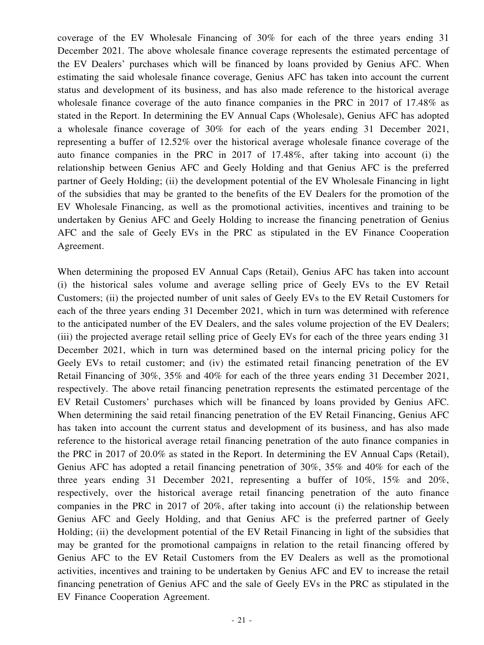coverage of the EV Wholesale Financing of 30% for each of the three years ending 31 December 2021. The above wholesale finance coverage represents the estimated percentage of the EV Dealers' purchases which will be financed by loans provided by Genius AFC. When estimating the said wholesale finance coverage, Genius AFC has taken into account the current status and development of its business, and has also made reference to the historical average wholesale finance coverage of the auto finance companies in the PRC in 2017 of 17.48% as stated in the Report. In determining the EV Annual Caps (Wholesale), Genius AFC has adopted a wholesale finance coverage of 30% for each of the years ending 31 December 2021, representing a buffer of 12.52% over the historical average wholesale finance coverage of the auto finance companies in the PRC in 2017 of 17.48%, after taking into account (i) the relationship between Genius AFC and Geely Holding and that Genius AFC is the preferred partner of Geely Holding; (ii) the development potential of the EV Wholesale Financing in light of the subsidies that may be granted to the benefits of the EV Dealers for the promotion of the EV Wholesale Financing, as well as the promotional activities, incentives and training to be undertaken by Genius AFC and Geely Holding to increase the financing penetration of Genius AFC and the sale of Geely EVs in the PRC as stipulated in the EV Finance Cooperation Agreement.

When determining the proposed EV Annual Caps (Retail), Genius AFC has taken into account (i) the historical sales volume and average selling price of Geely EVs to the EV Retail Customers; (ii) the projected number of unit sales of Geely EVs to the EV Retail Customers for each of the three years ending 31 December 2021, which in turn was determined with reference to the anticipated number of the EV Dealers, and the sales volume projection of the EV Dealers; (iii) the projected average retail selling price of Geely EVs for each of the three years ending 31 December 2021, which in turn was determined based on the internal pricing policy for the Geely EVs to retail customer; and (iv) the estimated retail financing penetration of the EV Retail Financing of 30%, 35% and 40% for each of the three years ending 31 December 2021, respectively. The above retail financing penetration represents the estimated percentage of the EV Retail Customers' purchases which will be financed by loans provided by Genius AFC. When determining the said retail financing penetration of the EV Retail Financing, Genius AFC has taken into account the current status and development of its business, and has also made reference to the historical average retail financing penetration of the auto finance companies in the PRC in 2017 of 20.0% as stated in the Report. In determining the EV Annual Caps (Retail), Genius AFC has adopted a retail financing penetration of 30%, 35% and 40% for each of the three years ending 31 December 2021, representing a buffer of 10%, 15% and 20%, respectively, over the historical average retail financing penetration of the auto finance companies in the PRC in 2017 of 20%, after taking into account (i) the relationship between Genius AFC and Geely Holding, and that Genius AFC is the preferred partner of Geely Holding; (ii) the development potential of the EV Retail Financing in light of the subsidies that may be granted for the promotional campaigns in relation to the retail financing offered by Genius AFC to the EV Retail Customers from the EV Dealers as well as the promotional activities, incentives and training to be undertaken by Genius AFC and EV to increase the retail financing penetration of Genius AFC and the sale of Geely EVs in the PRC as stipulated in the EV Finance Cooperation Agreement.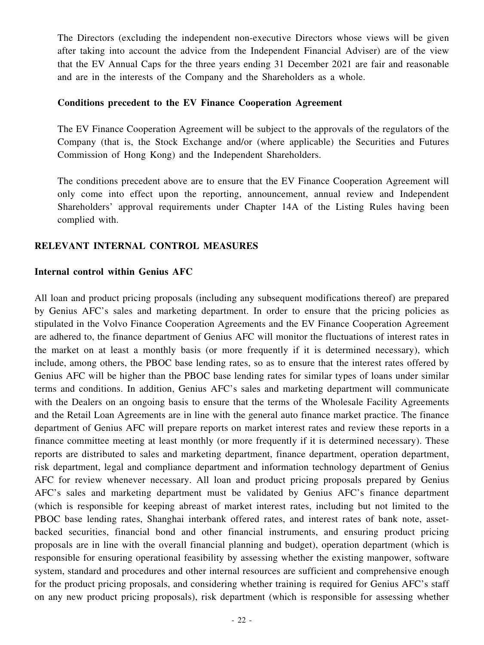The Directors (excluding the independent non-executive Directors whose views will be given after taking into account the advice from the Independent Financial Adviser) are of the view that the EV Annual Caps for the three years ending 31 December 2021 are fair and reasonable and are in the interests of the Company and the Shareholders as a whole.

#### **Conditions precedent to the EV Finance Cooperation Agreement**

The EV Finance Cooperation Agreement will be subject to the approvals of the regulators of the Company (that is, the Stock Exchange and/or (where applicable) the Securities and Futures Commission of Hong Kong) and the Independent Shareholders.

The conditions precedent above are to ensure that the EV Finance Cooperation Agreement will only come into effect upon the reporting, announcement, annual review and Independent Shareholders' approval requirements under Chapter 14A of the Listing Rules having been complied with.

#### **RELEVANT INTERNAL CONTROL MEASURES**

#### **Internal control within Genius AFC**

All loan and product pricing proposals (including any subsequent modifications thereof) are prepared by Genius AFC's sales and marketing department. In order to ensure that the pricing policies as stipulated in the Volvo Finance Cooperation Agreements and the EV Finance Cooperation Agreement are adhered to, the finance department of Genius AFC will monitor the fluctuations of interest rates in the market on at least a monthly basis (or more frequently if it is determined necessary), which include, among others, the PBOC base lending rates, so as to ensure that the interest rates offered by Genius AFC will be higher than the PBOC base lending rates for similar types of loans under similar terms and conditions. In addition, Genius AFC's sales and marketing department will communicate with the Dealers on an ongoing basis to ensure that the terms of the Wholesale Facility Agreements and the Retail Loan Agreements are in line with the general auto finance market practice. The finance department of Genius AFC will prepare reports on market interest rates and review these reports in a finance committee meeting at least monthly (or more frequently if it is determined necessary). These reports are distributed to sales and marketing department, finance department, operation department, risk department, legal and compliance department and information technology department of Genius AFC for review whenever necessary. All loan and product pricing proposals prepared by Genius AFC's sales and marketing department must be validated by Genius AFC's finance department (which is responsible for keeping abreast of market interest rates, including but not limited to the PBOC base lending rates, Shanghai interbank offered rates, and interest rates of bank note, assetbacked securities, financial bond and other financial instruments, and ensuring product pricing proposals are in line with the overall financial planning and budget), operation department (which is responsible for ensuring operational feasibility by assessing whether the existing manpower, software system, standard and procedures and other internal resources are sufficient and comprehensive enough for the product pricing proposals, and considering whether training is required for Genius AFC's staff on any new product pricing proposals), risk department (which is responsible for assessing whether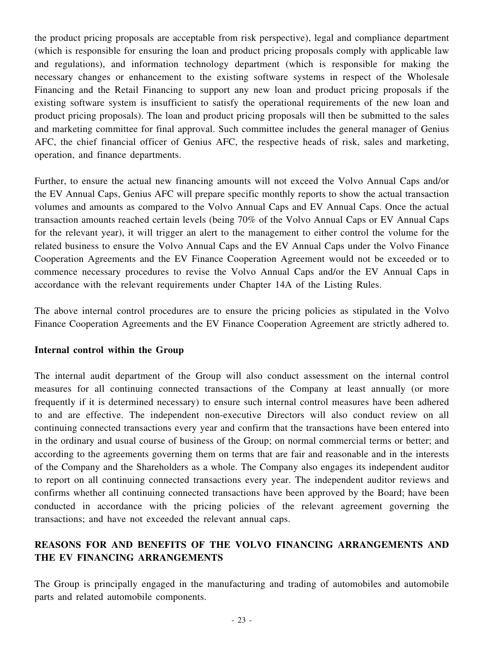the product pricing proposals are acceptable from risk perspective), legal and compliance department (which is responsible for ensuring the loan and product pricing proposals comply with applicable law and regulations), and information technology department (which is responsible for making the necessary changes or enhancement to the existing software systems in respect of the Wholesale Financing and the Retail Financing to support any new loan and product pricing proposals if the existing software system is insufficient to satisfy the operational requirements of the new loan and product pricing proposals). The loan and product pricing proposals will then be submitted to the sales and marketing committee for final approval. Such committee includes the general manager of Genius AFC, the chief financial officer of Genius AFC, the respective heads of risk, sales and marketing, operation, and finance departments.

Further, to ensure the actual new financing amounts will not exceed the Volvo Annual Caps and/or the EV Annual Caps, Genius AFC will prepare specific monthly reports to show the actual transaction volumes and amounts as compared to the Volvo Annual Caps and EV Annual Caps. Once the actual transaction amounts reached certain levels (being 70% of the Volvo Annual Caps or EV Annual Caps for the relevant year), it will trigger an alert to the management to either control the volume for the related business to ensure the Volvo Annual Caps and the EV Annual Caps under the Volvo Finance Cooperation Agreements and the EV Finance Cooperation Agreement would not be exceeded or to commence necessary procedures to revise the Volvo Annual Caps and/or the EV Annual Caps in accordance with the relevant requirements under Chapter 14A of the Listing Rules.

The above internal control procedures are to ensure the pricing policies as stipulated in the Volvo Finance Cooperation Agreements and the EV Finance Cooperation Agreement are strictly adhered to.

### **Internal control within the Group**

The internal audit department of the Group will also conduct assessment on the internal control measures for all continuing connected transactions of the Company at least annually (or more frequently if it is determined necessary) to ensure such internal control measures have been adhered to and are effective. The independent non-executive Directors will also conduct review on all continuing connected transactions every year and confirm that the transactions have been entered into in the ordinary and usual course of business of the Group; on normal commercial terms or better; and according to the agreements governing them on terms that are fair and reasonable and in the interests of the Company and the Shareholders as a whole. The Company also engages its independent auditor to report on all continuing connected transactions every year. The independent auditor reviews and confirms whether all continuing connected transactions have been approved by the Board; have been conducted in accordance with the pricing policies of the relevant agreement governing the transactions; and have not exceeded the relevant annual caps.

## **REASONS FOR AND BENEFITS OF THE VOLVO FINANCING ARRANGEMENTS AND THE EV FINANCING ARRANGEMENTS**

The Group is principally engaged in the manufacturing and trading of automobiles and automobile parts and related automobile components.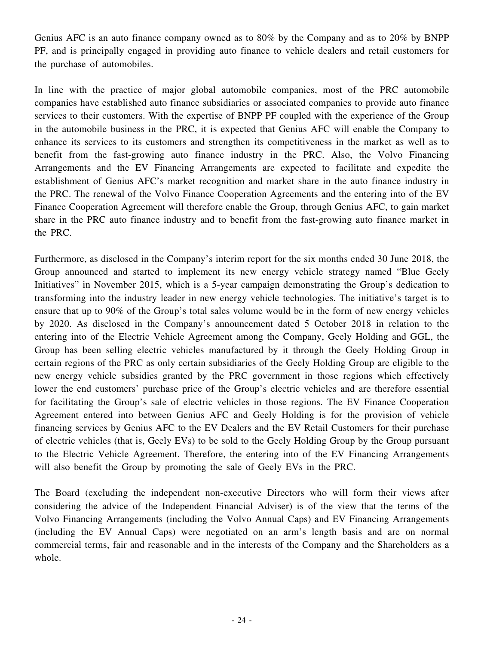Genius AFC is an auto finance company owned as to 80% by the Company and as to 20% by BNPP PF, and is principally engaged in providing auto finance to vehicle dealers and retail customers for the purchase of automobiles.

In line with the practice of major global automobile companies, most of the PRC automobile companies have established auto finance subsidiaries or associated companies to provide auto finance services to their customers. With the expertise of BNPP PF coupled with the experience of the Group in the automobile business in the PRC, it is expected that Genius AFC will enable the Company to enhance its services to its customers and strengthen its competitiveness in the market as well as to benefit from the fast-growing auto finance industry in the PRC. Also, the Volvo Financing Arrangements and the EV Financing Arrangements are expected to facilitate and expedite the establishment of Genius AFC's market recognition and market share in the auto finance industry in the PRC. The renewal of the Volvo Finance Cooperation Agreements and the entering into of the EV Finance Cooperation Agreement will therefore enable the Group, through Genius AFC, to gain market share in the PRC auto finance industry and to benefit from the fast-growing auto finance market in the PRC.

Furthermore, as disclosed in the Company's interim report for the six months ended 30 June 2018, the Group announced and started to implement its new energy vehicle strategy named "Blue Geely Initiatives" in November 2015, which is a 5-year campaign demonstrating the Group's dedication to transforming into the industry leader in new energy vehicle technologies. The initiative's target is to ensure that up to 90% of the Group's total sales volume would be in the form of new energy vehicles by 2020. As disclosed in the Company's announcement dated 5 October 2018 in relation to the entering into of the Electric Vehicle Agreement among the Company, Geely Holding and GGL, the Group has been selling electric vehicles manufactured by it through the Geely Holding Group in certain regions of the PRC as only certain subsidiaries of the Geely Holding Group are eligible to the new energy vehicle subsidies granted by the PRC government in those regions which effectively lower the end customers' purchase price of the Group's electric vehicles and are therefore essential for facilitating the Group's sale of electric vehicles in those regions. The EV Finance Cooperation Agreement entered into between Genius AFC and Geely Holding is for the provision of vehicle financing services by Genius AFC to the EV Dealers and the EV Retail Customers for their purchase of electric vehicles (that is, Geely EVs) to be sold to the Geely Holding Group by the Group pursuant to the Electric Vehicle Agreement. Therefore, the entering into of the EV Financing Arrangements will also benefit the Group by promoting the sale of Geely EVs in the PRC.

The Board (excluding the independent non-executive Directors who will form their views after considering the advice of the Independent Financial Adviser) is of the view that the terms of the Volvo Financing Arrangements (including the Volvo Annual Caps) and EV Financing Arrangements (including the EV Annual Caps) were negotiated on an arm's length basis and are on normal commercial terms, fair and reasonable and in the interests of the Company and the Shareholders as a whole.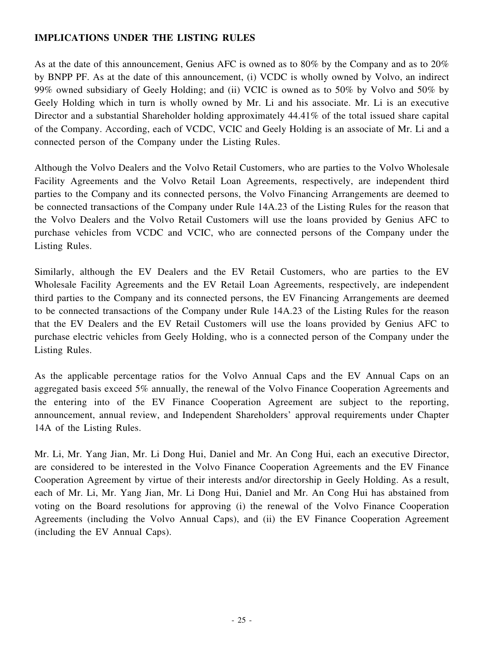## **IMPLICATIONS UNDER THE LISTING RULES**

As at the date of this announcement, Genius AFC is owned as to 80% by the Company and as to 20% by BNPP PF. As at the date of this announcement, (i) VCDC is wholly owned by Volvo, an indirect 99% owned subsidiary of Geely Holding; and (ii) VCIC is owned as to 50% by Volvo and 50% by Geely Holding which in turn is wholly owned by Mr. Li and his associate. Mr. Li is an executive Director and a substantial Shareholder holding approximately 44.41% of the total issued share capital of the Company. According, each of VCDC, VCIC and Geely Holding is an associate of Mr. Li and a connected person of the Company under the Listing Rules.

Although the Volvo Dealers and the Volvo Retail Customers, who are parties to the Volvo Wholesale Facility Agreements and the Volvo Retail Loan Agreements, respectively, are independent third parties to the Company and its connected persons, the Volvo Financing Arrangements are deemed to be connected transactions of the Company under Rule 14A.23 of the Listing Rules for the reason that the Volvo Dealers and the Volvo Retail Customers will use the loans provided by Genius AFC to purchase vehicles from VCDC and VCIC, who are connected persons of the Company under the Listing Rules.

Similarly, although the EV Dealers and the EV Retail Customers, who are parties to the EV Wholesale Facility Agreements and the EV Retail Loan Agreements, respectively, are independent third parties to the Company and its connected persons, the EV Financing Arrangements are deemed to be connected transactions of the Company under Rule 14A.23 of the Listing Rules for the reason that the EV Dealers and the EV Retail Customers will use the loans provided by Genius AFC to purchase electric vehicles from Geely Holding, who is a connected person of the Company under the Listing Rules.

As the applicable percentage ratios for the Volvo Annual Caps and the EV Annual Caps on an aggregated basis exceed 5% annually, the renewal of the Volvo Finance Cooperation Agreements and the entering into of the EV Finance Cooperation Agreement are subject to the reporting, announcement, annual review, and Independent Shareholders' approval requirements under Chapter 14A of the Listing Rules.

Mr. Li, Mr. Yang Jian, Mr. Li Dong Hui, Daniel and Mr. An Cong Hui, each an executive Director, are considered to be interested in the Volvo Finance Cooperation Agreements and the EV Finance Cooperation Agreement by virtue of their interests and/or directorship in Geely Holding. As a result, each of Mr. Li, Mr. Yang Jian, Mr. Li Dong Hui, Daniel and Mr. An Cong Hui has abstained from voting on the Board resolutions for approving (i) the renewal of the Volvo Finance Cooperation Agreements (including the Volvo Annual Caps), and (ii) the EV Finance Cooperation Agreement (including the EV Annual Caps).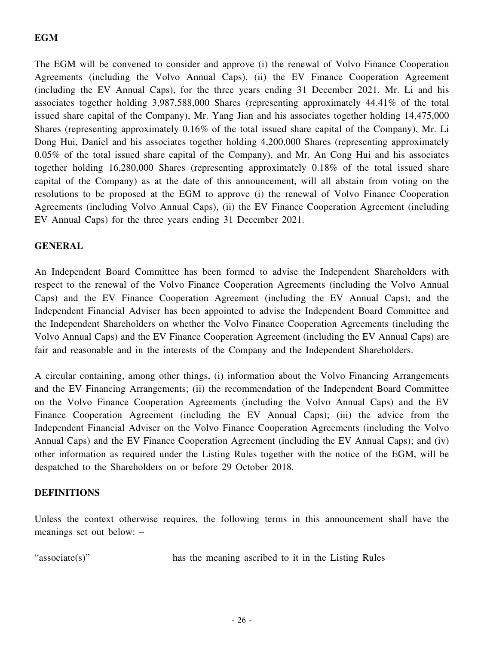## **EGM**

The EGM will be convened to consider and approve (i) the renewal of Volvo Finance Cooperation Agreements (including the Volvo Annual Caps), (ii) the EV Finance Cooperation Agreement (including the EV Annual Caps), for the three years ending 31 December 2021. Mr. Li and his associates together holding 3,987,588,000 Shares (representing approximately 44.41% of the total issued share capital of the Company), Mr. Yang Jian and his associates together holding 14,475,000 Shares (representing approximately 0.16% of the total issued share capital of the Company), Mr. Li Dong Hui, Daniel and his associates together holding 4,200,000 Shares (representing approximately 0.05% of the total issued share capital of the Company), and Mr. An Cong Hui and his associates together holding 16,280,000 Shares (representing approximately 0.18% of the total issued share capital of the Company) as at the date of this announcement, will all abstain from voting on the resolutions to be proposed at the EGM to approve (i) the renewal of Volvo Finance Cooperation Agreements (including Volvo Annual Caps), (ii) the EV Finance Cooperation Agreement (including EV Annual Caps) for the three years ending 31 December 2021.

### **GENERAL**

An Independent Board Committee has been formed to advise the Independent Shareholders with respect to the renewal of the Volvo Finance Cooperation Agreements (including the Volvo Annual Caps) and the EV Finance Cooperation Agreement (including the EV Annual Caps), and the Independent Financial Adviser has been appointed to advise the Independent Board Committee and the Independent Shareholders on whether the Volvo Finance Cooperation Agreements (including the Volvo Annual Caps) and the EV Finance Cooperation Agreement (including the EV Annual Caps) are fair and reasonable and in the interests of the Company and the Independent Shareholders.

A circular containing, among other things, (i) information about the Volvo Financing Arrangements and the EV Financing Arrangements; (ii) the recommendation of the Independent Board Committee on the Volvo Finance Cooperation Agreements (including the Volvo Annual Caps) and the EV Finance Cooperation Agreement (including the EV Annual Caps); (iii) the advice from the Independent Financial Adviser on the Volvo Finance Cooperation Agreements (including the Volvo Annual Caps) and the EV Finance Cooperation Agreement (including the EV Annual Caps); and (iv) other information as required under the Listing Rules together with the notice of the EGM, will be despatched to the Shareholders on or before 29 October 2018.

### **DEFINITIONS**

Unless the context otherwise requires, the following terms in this announcement shall have the meanings set out below: –

"associate(s)" has the meaning ascribed to it in the Listing Rules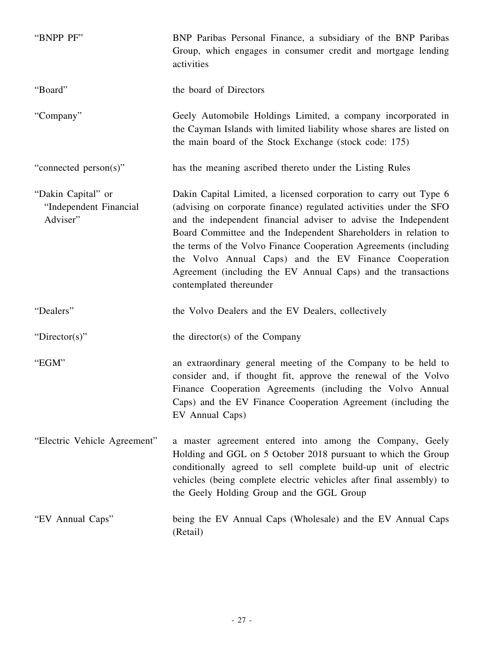| "BNPP PF"                                                | BNP Paribas Personal Finance, a subsidiary of the BNP Paribas<br>Group, which engages in consumer credit and mortgage lending<br>activities                                                                                                                                                                                                                                                                                                                                                            |
|----------------------------------------------------------|--------------------------------------------------------------------------------------------------------------------------------------------------------------------------------------------------------------------------------------------------------------------------------------------------------------------------------------------------------------------------------------------------------------------------------------------------------------------------------------------------------|
| "Board"                                                  | the board of Directors                                                                                                                                                                                                                                                                                                                                                                                                                                                                                 |
| "Company"                                                | Geely Automobile Holdings Limited, a company incorporated in<br>the Cayman Islands with limited liability whose shares are listed on<br>the main board of the Stock Exchange (stock code: 175)                                                                                                                                                                                                                                                                                                         |
| "connected person(s)"                                    | has the meaning ascribed thereto under the Listing Rules                                                                                                                                                                                                                                                                                                                                                                                                                                               |
| "Dakin Capital" or<br>"Independent Financial<br>Adviser" | Dakin Capital Limited, a licensed corporation to carry out Type 6<br>(advising on corporate finance) regulated activities under the SFO<br>and the independent financial adviser to advise the Independent<br>Board Committee and the Independent Shareholders in relation to<br>the terms of the Volvo Finance Cooperation Agreements (including<br>the Volvo Annual Caps) and the EV Finance Cooperation<br>Agreement (including the EV Annual Caps) and the transactions<br>contemplated thereunder |
| "Dealers"                                                | the Volvo Dealers and the EV Dealers, collectively                                                                                                                                                                                                                                                                                                                                                                                                                                                     |
| "Director(s)"                                            | the director(s) of the Company                                                                                                                                                                                                                                                                                                                                                                                                                                                                         |
| "EGM"                                                    | an extraordinary general meeting of the Company to be held to<br>consider and, if thought fit, approve the renewal of the Volvo<br>Finance Cooperation Agreements (including the Volvo Annual<br>Caps) and the EV Finance Cooperation Agreement (including the<br>EV Annual Caps)                                                                                                                                                                                                                      |
| "Electric Vehicle Agreement"                             | a master agreement entered into among the Company, Geely<br>Holding and GGL on 5 October 2018 pursuant to which the Group<br>conditionally agreed to sell complete build-up unit of electric<br>vehicles (being complete electric vehicles after final assembly) to<br>the Geely Holding Group and the GGL Group                                                                                                                                                                                       |
| "EV Annual Caps"                                         | being the EV Annual Caps (Wholesale) and the EV Annual Caps<br>(Retail)                                                                                                                                                                                                                                                                                                                                                                                                                                |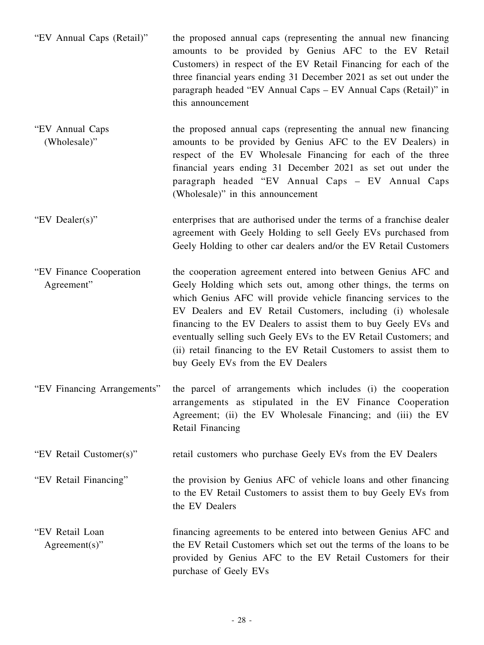| "EV Annual Caps (Retail)"              | the proposed annual caps (representing the annual new financing<br>amounts to be provided by Genius AFC to the EV Retail<br>Customers) in respect of the EV Retail Financing for each of the<br>three financial years ending 31 December 2021 as set out under the<br>paragraph headed "EV Annual Caps – EV Annual Caps (Retail)" in<br>this announcement                                                                                                                                                            |
|----------------------------------------|----------------------------------------------------------------------------------------------------------------------------------------------------------------------------------------------------------------------------------------------------------------------------------------------------------------------------------------------------------------------------------------------------------------------------------------------------------------------------------------------------------------------|
| "EV Annual Caps<br>(Wholesale)"        | the proposed annual caps (representing the annual new financing<br>amounts to be provided by Genius AFC to the EV Dealers) in<br>respect of the EV Wholesale Financing for each of the three<br>financial years ending 31 December 2021 as set out under the<br>paragraph headed "EV Annual Caps - EV Annual Caps<br>(Wholesale)" in this announcement                                                                                                                                                               |
| "EV Dealer(s)"                         | enterprises that are authorised under the terms of a franchise dealer<br>agreement with Geely Holding to sell Geely EVs purchased from<br>Geely Holding to other car dealers and/or the EV Retail Customers                                                                                                                                                                                                                                                                                                          |
| "EV Finance Cooperation"<br>Agreement" | the cooperation agreement entered into between Genius AFC and<br>Geely Holding which sets out, among other things, the terms on<br>which Genius AFC will provide vehicle financing services to the<br>EV Dealers and EV Retail Customers, including (i) wholesale<br>financing to the EV Dealers to assist them to buy Geely EVs and<br>eventually selling such Geely EVs to the EV Retail Customers; and<br>(ii) retail financing to the EV Retail Customers to assist them to<br>buy Geely EVs from the EV Dealers |
| "EV Financing Arrangements"            | the parcel of arrangements which includes (i) the cooperation<br>arrangements as stipulated in the EV Finance Cooperation<br>Agreement; (ii) the EV Wholesale Financing; and (iii) the EV<br><b>Retail Financing</b>                                                                                                                                                                                                                                                                                                 |
| "EV Retail Customer(s)"                | retail customers who purchase Geely EVs from the EV Dealers                                                                                                                                                                                                                                                                                                                                                                                                                                                          |
| "EV Retail Financing"                  | the provision by Genius AFC of vehicle loans and other financing<br>to the EV Retail Customers to assist them to buy Geely EVs from<br>the EV Dealers                                                                                                                                                                                                                                                                                                                                                                |
| "EV Retail Loan<br>$Agreement(s)$ "    | financing agreements to be entered into between Genius AFC and<br>the EV Retail Customers which set out the terms of the loans to be<br>provided by Genius AFC to the EV Retail Customers for their<br>purchase of Geely EVs                                                                                                                                                                                                                                                                                         |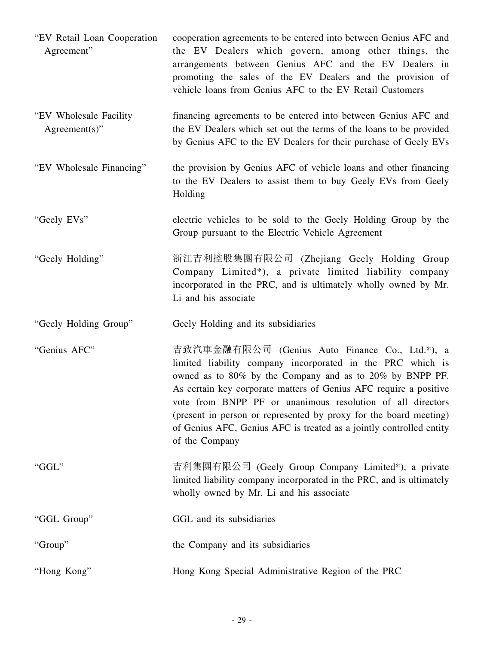| "EV Retail Loan Cooperation"<br>Agreement"  | cooperation agreements to be entered into between Genius AFC and<br>the EV Dealers which govern, among other things, the<br>arrangements between Genius AFC and the EV Dealers in<br>promoting the sales of the EV Dealers and the provision of<br>vehicle loans from Genius AFC to the EV Retail Customers                                               |
|---------------------------------------------|-----------------------------------------------------------------------------------------------------------------------------------------------------------------------------------------------------------------------------------------------------------------------------------------------------------------------------------------------------------|
| "EV Wholesale Facility"<br>$Agreement(s)$ " | financing agreements to be entered into between Genius AFC and<br>the EV Dealers which set out the terms of the loans to be provided<br>by Genius AFC to the EV Dealers for their purchase of Geely EVs                                                                                                                                                   |
| "EV Wholesale Financing"                    | the provision by Genius AFC of vehicle loans and other financing<br>to the EV Dealers to assist them to buy Geely EVs from Geely<br>Holding                                                                                                                                                                                                               |
| "Geely EVs"                                 | electric vehicles to be sold to the Geely Holding Group by the<br>Group pursuant to the Electric Vehicle Agreement                                                                                                                                                                                                                                        |
| "Geely Holding"                             | 浙江吉利控股集團有限公司 (Zhejiang Geely Holding Group<br>Company Limited*), a private limited liability company<br>incorporated in the PRC, and is ultimately wholly owned by Mr.<br>Li and his associate                                                                                                                                                            |
| "Geely Holding Group"                       | Geely Holding and its subsidiaries                                                                                                                                                                                                                                                                                                                        |
| "Genius AFC"                                | 吉致汽車金融有限公司 (Genius Auto Finance Co., Ltd.*), a<br>limited liability company incorporated in the PRC which is                                                                                                                                                                                                                                              |
|                                             | owned as to 80% by the Company and as to 20% by BNPP PF.<br>As certain key corporate matters of Genius AFC require a positive<br>vote from BNPP PF or unanimous resolution of all directors<br>(present in person or represented by proxy for the board meeting)<br>of Genius AFC, Genius AFC is treated as a jointly controlled entity<br>of the Company |
| "GGL"                                       | 吉利集團有限公司 (Geely Group Company Limited*), a private<br>limited liability company incorporated in the PRC, and is ultimately<br>wholly owned by Mr. Li and his associate                                                                                                                                                                                    |
| "GGL Group"                                 | GGL and its subsidiaries                                                                                                                                                                                                                                                                                                                                  |
| "Group"                                     | the Company and its subsidiaries                                                                                                                                                                                                                                                                                                                          |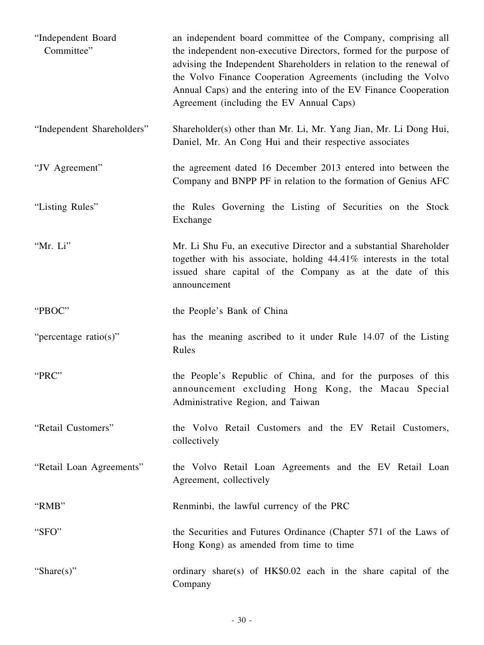| "Independent Board<br>Committee" | an independent board committee of the Company, comprising all<br>the independent non-executive Directors, formed for the purpose of<br>advising the Independent Shareholders in relation to the renewal of<br>the Volvo Finance Cooperation Agreements (including the Volvo<br>Annual Caps) and the entering into of the EV Finance Cooperation<br>Agreement (including the EV Annual Caps) |
|----------------------------------|---------------------------------------------------------------------------------------------------------------------------------------------------------------------------------------------------------------------------------------------------------------------------------------------------------------------------------------------------------------------------------------------|
| "Independent Shareholders"       | Shareholder(s) other than Mr. Li, Mr. Yang Jian, Mr. Li Dong Hui,<br>Daniel, Mr. An Cong Hui and their respective associates                                                                                                                                                                                                                                                                |
| "JV Agreement"                   | the agreement dated 16 December 2013 entered into between the<br>Company and BNPP PF in relation to the formation of Genius AFC                                                                                                                                                                                                                                                             |
| "Listing Rules"                  | the Rules Governing the Listing of Securities on the Stock<br>Exchange                                                                                                                                                                                                                                                                                                                      |
| "Mr. Li"                         | Mr. Li Shu Fu, an executive Director and a substantial Shareholder<br>together with his associate, holding 44.41% interests in the total<br>issued share capital of the Company as at the date of this<br>announcement                                                                                                                                                                      |
| "PBOC"                           | the People's Bank of China                                                                                                                                                                                                                                                                                                                                                                  |
| "percentage ratio(s)"            | has the meaning ascribed to it under Rule 14.07 of the Listing<br>Rules                                                                                                                                                                                                                                                                                                                     |
| "PRC"                            | the People's Republic of China, and for the purposes of this<br>announcement excluding Hong Kong, the Macau Special<br>Administrative Region, and Taiwan                                                                                                                                                                                                                                    |
| "Retail Customers"               | the Volvo Retail Customers and the EV Retail Customers,<br>collectively                                                                                                                                                                                                                                                                                                                     |
| "Retail Loan Agreements"         | the Volvo Retail Loan Agreements and the EV Retail Loan<br>Agreement, collectively                                                                                                                                                                                                                                                                                                          |
| "RMB"                            | Renminbi, the lawful currency of the PRC                                                                                                                                                                                                                                                                                                                                                    |
| "SFO"                            | the Securities and Futures Ordinance (Chapter 571 of the Laws of<br>Hong Kong) as amended from time to time                                                                                                                                                                                                                                                                                 |
| "Share $(s)$ "                   | ordinary share(s) of HK\$0.02 each in the share capital of the<br>Company                                                                                                                                                                                                                                                                                                                   |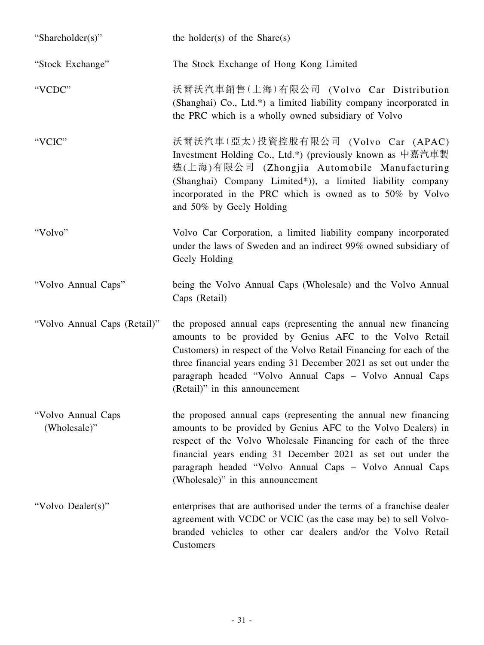| "Shareholder(s)"                   | the holder(s) of the Share(s)                                                                                                                                                                                                                                                                                                                                         |
|------------------------------------|-----------------------------------------------------------------------------------------------------------------------------------------------------------------------------------------------------------------------------------------------------------------------------------------------------------------------------------------------------------------------|
| "Stock Exchange"                   | The Stock Exchange of Hong Kong Limited                                                                                                                                                                                                                                                                                                                               |
| "VCDC"                             | 沃爾沃汽車銷售(上海)有限公司 (Volvo Car Distribution<br>(Shanghai) Co., Ltd.*) a limited liability company incorporated in<br>the PRC which is a wholly owned subsidiary of Volvo                                                                                                                                                                                                  |
| "VCIC"                             | 沃爾沃汽車(亞太)投資控股有限公司 (Volvo Car (APAC)<br>Investment Holding Co., Ltd.*) (previously known as 中嘉汽車製<br>造(上海)有限公司 (Zhongjia Automobile Manufacturing<br>(Shanghai) Company Limited*)), a limited liability company<br>incorporated in the PRC which is owned as to 50% by Volvo<br>and 50% by Geely Holding                                                               |
| "Volvo"                            | Volvo Car Corporation, a limited liability company incorporated<br>under the laws of Sweden and an indirect 99% owned subsidiary of<br>Geely Holding                                                                                                                                                                                                                  |
| "Volvo Annual Caps"                | being the Volvo Annual Caps (Wholesale) and the Volvo Annual<br>Caps (Retail)                                                                                                                                                                                                                                                                                         |
| "Volvo Annual Caps (Retail)"       | the proposed annual caps (representing the annual new financing<br>amounts to be provided by Genius AFC to the Volvo Retail<br>Customers) in respect of the Volvo Retail Financing for each of the<br>three financial years ending 31 December 2021 as set out under the<br>paragraph headed "Volvo Annual Caps - Volvo Annual Caps<br>(Retail)" in this announcement |
| "Volvo Annual Caps<br>(Wholesale)" | the proposed annual caps (representing the annual new financing<br>amounts to be provided by Genius AFC to the Volvo Dealers) in<br>respect of the Volvo Wholesale Financing for each of the three<br>financial years ending 31 December 2021 as set out under the<br>paragraph headed "Volvo Annual Caps - Volvo Annual Caps<br>(Wholesale)" in this announcement    |
| "Volvo Dealer(s)"                  | enterprises that are authorised under the terms of a franchise dealer<br>agreement with VCDC or VCIC (as the case may be) to sell Volvo-<br>branded vehicles to other car dealers and/or the Volvo Retail<br>Customers                                                                                                                                                |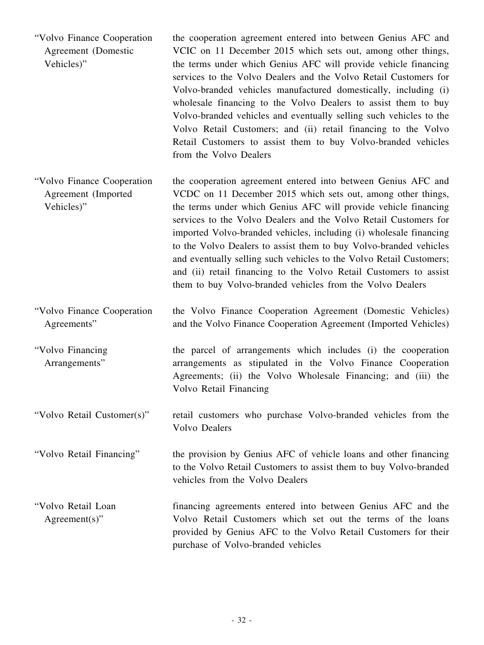"Volvo Finance Cooperation Agreement (Domestic Vehicles)" the cooperation agreement entered into between Genius AFC and VCIC on 11 December 2015 which sets out, among other things, the terms under which Genius AFC will provide vehicle financing services to the Volvo Dealers and the Volvo Retail Customers for Volvo-branded vehicles manufactured domestically, including (i) wholesale financing to the Volvo Dealers to assist them to buy Volvo-branded vehicles and eventually selling such vehicles to the Volvo Retail Customers; and (ii) retail financing to the Volvo Retail Customers to assist them to buy Volvo-branded vehicles from the Volvo Dealers

"Volvo Finance Cooperation Agreement (Imported Vehicles)" the cooperation agreement entered into between Genius AFC and VCDC on 11 December 2015 which sets out, among other things, the terms under which Genius AFC will provide vehicle financing services to the Volvo Dealers and the Volvo Retail Customers for imported Volvo-branded vehicles, including (i) wholesale financing to the Volvo Dealers to assist them to buy Volvo-branded vehicles and eventually selling such vehicles to the Volvo Retail Customers; and (ii) retail financing to the Volvo Retail Customers to assist them to buy Volvo-branded vehicles from the Volvo Dealers

"Volvo Finance Cooperation Agreements" the Volvo Finance Cooperation Agreement (Domestic Vehicles) and the Volvo Finance Cooperation Agreement (Imported Vehicles)

"Volvo Financing Arrangements"

the parcel of arrangements which includes (i) the cooperation arrangements as stipulated in the Volvo Finance Cooperation Agreements; (ii) the Volvo Wholesale Financing; and (iii) the Volvo Retail Financing

"Volvo Retail Customer(s)" retail customers who purchase Volvo-branded vehicles from the Volvo Dealers

"Volvo Retail Financing" the provision by Genius AFC of vehicle loans and other financing to the Volvo Retail Customers to assist them to buy Volvo-branded vehicles from the Volvo Dealers

"Volvo Retail Loan Agreement(s)" financing agreements entered into between Genius AFC and the Volvo Retail Customers which set out the terms of the loans provided by Genius AFC to the Volvo Retail Customers for their purchase of Volvo-branded vehicles